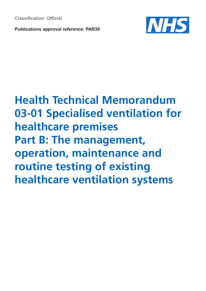**Classification: Official**

**Publications approval reference: PAR38**



# **Health Technical Memorandum 03-01 Specialised ventilation for healthcare premises Part B: The management, operation, maintenance and routine testing of existing healthcare ventilation systems**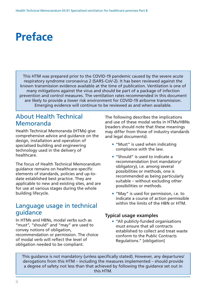# <span id="page-1-0"></span>**Preface**

This HTM was prepared prior to the COVID-19 pandemic caused by the severe acute respiratory syndrome coronavirus 2 (SARS-CoV-2). It has been reviewed against the known transmission evidence available at the time of publication. Ventilation is one of many mitigations against the virus and should be part of a package of infection prevention and control measures. The ventilation rates recommended in this document are likely to provide a lower risk environment for COVID-19 airborne transmission. Emerging evidence will continue to be reviewed as and when available.

## About Health Technical Memoranda

Health Technical Memoranda (HTMs) give comprehensive advice and guidance on the design, installation and operation of specialised building and engineering technology used in the delivery of healthcare.

The focus of Health Technical Memorandum guidance remains on healthcare-specific elements of standards, policies and up-todate established best practice. They are applicable to new and existing sites, and are for use at various stages during the whole building lifecycle.

### Language usage in technical guidance

In HTMs and HBNs, modal verbs such as "must", "should" and "may" are used to convey notions of obligation, recommendation or permission. The choice of modal verb will reflect the level of obligation needed to be compliant.

The following describes the implications and use of these modal verbs in HTMs/HBNs (readers should note that these meanings may differ from those of industry standards and legal documents):

- "Must" is used when indicating compliance with the law.
- "Should" is used to indicate a recommendation (not mandatory/ obligatory), i.e. among several possibilities or methods, one is recommended as being particularly suitable – without excluding other possibilities or methods.
- "May" is used for permission, i.e. to indicate a course of action permissible within the limits of the HBN or HTM.

#### **Typical usage examples**

• "All publicly-funded organisations must ensure that all contracts established to collect and treat waste conform to the Public Contracts Regulations." [obligation]

This guidance is not mandatory (unless specifically stated). However, any departures/ derogations from this HTM – including the measures implemented – should provide a degree of safety not less than that achieved by following the guidance set out in this HTM.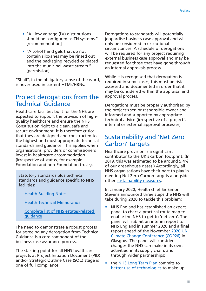- <span id="page-2-0"></span>• "All low voltage (LV) distributions should be configured as TN systems." [recommendation]
- "Alcohol hand gels that do not contain siloxanes may be rinsed out and the packaging recycled or placed into the municipal waste stream." **[permission]**

"Shall", in the obligatory sense of the word, is never used in current HTMs/HBNs.

## Project derogations from the Technical Guidance

Healthcare facilities built for the NHS are expected to support the provision of highquality healthcare and ensure the NHS Constitution right to a clean, safe and secure environment. It is therefore critical that they are designed and constructed to the highest and most appropriate technical standards and guidance. This applies when organisations, providers or commissioners invest in healthcare accommodation (irrespective of status, for example Foundation and non-Foundation trusts).

Statutory standards plus technical standards and guidance specific to NHS facilities:

[Health Building Notes](https://www.gov.uk/government/collections/health-building-notes-core-elements)

[Health Technical Memoranda](https://www.gov.uk/government/collections/health-technical-memorandum-disinfection-and-sterilization)

 [Complete list of NHS estates-related](https://www.gov.uk/government/publications/complete-list-of-nhs-estates-related-guidance)  [guidance](https://www.gov.uk/government/publications/complete-list-of-nhs-estates-related-guidance)

The need to demonstrate a robust process for agreeing any derogation from Technical Guidance is a core component of the business case assurance process.

The starting point for all NHS healthcare projects at Project Initiation Document (PID) and/or Strategic Outline Case (SOC) stage is one of full compliance.

Derogations to standards will potentially jeopardise business case approval and will only be considered in exceptional circumstances. A schedule of derogations will be required for any project requiring external business case approval and may be requested for those that have gone through an internal approvals process.

While it is recognised that derogation is required in some cases, this must be riskassessed and documented in order that it may be considered within the appraisal and approval process.

Derogations must be properly authorised by the project's senior responsible owner and informed and supported by appropriate technical advice (irrespective of a project's internal or external approval processes).

## Sustainability and 'Net Zero Carbon' targets

Healthcare provision is a significant contributor to the UK's carbon footprint. (In 2019, this was estimated to be around 5.4% of our greenhouse gases.) Accordingly, all NHS organisations have their part to play in meeting Net Zero Carbon targets alongside other [sustainability measures](https://www.england.nhs.uk/2020/01/greener-nhs-campaign-to-tackle-climate-health-emergency/).

In January 2020, Health chief Sir Simon Stevens announced three steps the NHS will take during 2020 to tackle this problem:

- NHS England has established an expert panel to chart a practical route map to enable the NHS to get to 'net zero'. The panel will submit an interim report to NHS England in summer 2020 and a final report ahead of the November [2020 UN](https://sdg.iisd.org/events/2020-un-climate-change-conference-unfccc-cop-26/)  [Climate Change Conference \(COP26\)](https://sdg.iisd.org/events/2020-un-climate-change-conference-unfccc-cop-26/) in Glasgow. The panel will consider changes the NHS can make in its own activities; in its supply chain; and through wider partnerships;
- the [NHS Long Term Plan](https://www.longtermplan.nhs.uk/) commits to [better use of technologies](https://www.longtermplan.nhs.uk/online-version/chapter-5-digitally-enabled-care-will-go-mainstream-across-the-nhs/) to make up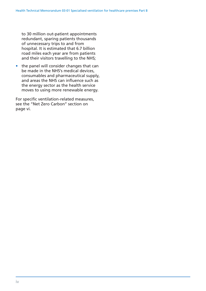to 30 million out-patient appointments redundant, sparing patients thousands of unnecessary trips to and from hospital. It is estimated that 6.7 billion road miles each year are from patients and their visitors travelling to the NHS;

• the panel will consider changes that can be made in the NHS's medical devices, consumables and pharmaceutical supply, and areas the NHS can influence such as the energy sector as the health service moves to using more renewable energy.

For specific ventilation-related measures, see the "Net Zero Carbon" section on page vi.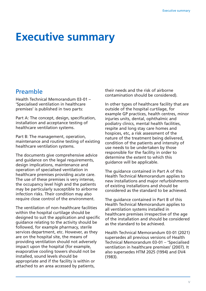# <span id="page-4-0"></span>**Executive summary**

### Preamble

Health Technical Memorandum 03-01 – 'Specialised ventilation in healthcare premises' is published in two parts:

Part A: The concept, design, specification, installation and acceptance testing of healthcare ventilation systems.

Part B: The management, operation, maintenance and routine testing of existing healthcare ventilation systems.

The documents give comprehensive advice and guidance on the legal requirements, design implications, maintenance and operation of specialised ventilation in healthcare premises providing acute care. The use of these premises is very intense, the occupancy level high and the patients may be particularly susceptible to airborne infection risks. Their condition may also require close control of the environment.

The ventilation of non-healthcare facilities within the hospital curtilage should be designed to suit the application and specific guidance relating to the activity should be followed, for example pharmacy, sterile services department, etc. However, as they are on the hospital site, the means of providing ventilation should not adversely impact upon the hospital (for example, evaporative cooling towers should not be installed, sound levels should be appropriate and if the facility is within or attached to an area accessed by patients,

their needs and the risk of airborne contamination should be considered).

In other types of healthcare facility that are outside of the hospital curtilage, for example GP practices, health centres, minor injuries units, dental, ophthalmic and podiatry clinics, mental health facilities, respite and long stay care homes and hospices, etc, a risk assessment of the nature of the treatment being delivered, condition of the patients and intensity of use needs to be undertaken by those responsible for the facility in order to determine the extent to which this guidance will be applicable.

The guidance contained in Part A of this Health Technical Memorandum applies to new installations and major refurbishments of existing installations and should be considered as the standard to be achieved.

The guidance contained in Part B of this Health Technical Memorandum applies to all ventilation systems installed in healthcare premises irrespective of the age of the installation and should be considered as the standard to be achieved.

Health Technical Memorandum 03-01 (2021) supersedes all previous versions of Health Technical Memorandum 03-01 – 'Specialised ventilation in healthcare premises' (2007). It also supersedes HTM 2025 (1994) and DV4 (1983).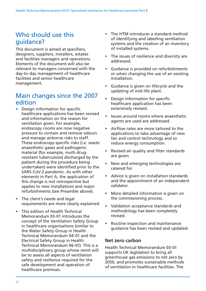## <span id="page-5-0"></span>Who should use this guidance?

This document is aimed at specifiers, designers, suppliers, installers, estates and facilities managers and operations. Elements of the document will also be relevant to managers concerned with the day-to-day management of healthcare facilities and senior healthcare management.

### Main changes since the 2007 edition

- Design information for specific healthcare applications has been revised and information on the reason for ventilation given. For example, endoscopy rooms are now negative pressure to contain and remove odours and manage airborne risks to staff. These endoscopy-specific risks (i.e. waste anaesthetic gases and pathogenic material (for example, multi-drugresistant tuberculosis) discharged by the patient during the procedure being undertaken) were identified prior to the SARS-CoV-2 pandemic. As with other elements in Part A, the application of this change is not retrospective but applies to new installations and major refurbishments (see Preamble above).
- The client's needs and legal requirements are more clearly explained.
- This edition of Health Technical Memorandum 03-01 introduces the concept of the Ventilation Safety Group in healthcare organisations (similar to the Water Safety Group in Health Technical Memorandum 04-01 and the Electrical Safety Group in Health Technical Memorandum 06-01). This is a multidisciplinary group whose remit will be to assess all aspects of ventilation safety and resilience required for the safe development and operation of healthcare premises.
- The HTM introduces a standard method of identifying and labelling ventilation systems and the creation of an inventory of installed systems.
- The issues of resilience and diversity are addressed.
- Guidance is provided on refurbishments or when changing the use of an existing **installation**
- Guidance is given on lifecycle and the updating of mid-life plant.
- Design information for specific healthcare application has been extensively revised.
- Issues around rooms where anaesthetic agents are used are addressed.
- Airflow rates are more tailored to the applications to take advantage of new fan and control technology and so reduce energy consumption.
- Revised air quality and filter standards are given.
- New and emerging technologies are catered for.
- Advice is given on installation standards and the appointment of an independent validator.
- More detailed information is given on the commissioning process.
- Validation acceptance standards and methodology has been completely revised.
- Routine inspection and maintenance guidance has been revised and updated.

#### **Net zero carbon**

Health Technical Memorandum 03-01 supports UK legislation to bring all greenhouse gas emissions to net zero by 2050, and promotes sustainable methods of ventilation in healthcare facilities. The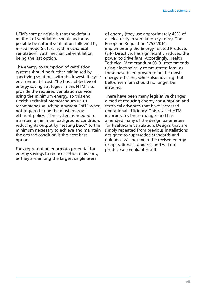HTM's core principle is that the default method of ventilation should as far as possible be natural ventilation followed by mixed mode (natural with mechanical ventilation), with mechanical ventilation being the last option.

The energy consumption of ventilation systems should be further minimised by specifying solutions with the lowest lifecycle environmental cost. The basic objective of energy-saving strategies in this HTM is to provide the required ventilation service using the minimum energy. To this end, Health Technical Memorandum 03-01 recommends switching a system "off" when not required to be the most energyefficient policy. If the system is needed to maintain a minimum background condition, reducing its output by "setting back" to the minimum necessary to achieve and maintain the desired condition is the next best option.

Fans represent an enormous potential for energy savings to reduce carbon emissions, as they are among the largest single users

of energy (they use approximately 40% of all electricity in ventilation systems). The European Regulation 1253/2014, implementing the Energy-related Products (ErP) Directive, has significantly reduced the power to drive fans. Accordingly, Health Technical Memorandum 03-01 recommends using electronically commutated fans, as these have been proven to be the most energy-efficient, while also advising that belt-driven fans should no longer be installed.

There have been many legislative changes aimed at reducing energy consumption and technical advances that have increased operational efficiency. This revised HTM incorporates those changes and has amended many of the design parameters for healthcare ventilation. Designs that are simply repeated from previous installations designed to superseded standards and guidance will not meet the revised energy or operational standards and will not produce a compliant result.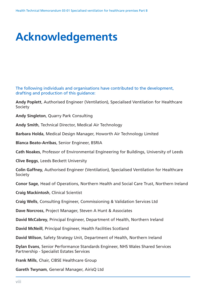# <span id="page-7-0"></span>**Acknowledgements**

The following individuals and organisations have contributed to the development, drafting and production of this guidance:

**Andy Poplett**, Authorised Engineer (Ventilation), Specialised Ventilation for Healthcare Society

**Andy Singleton**, Quarry Park Consulting

**Andy Smith**, Technical Director, Medical Air Technology

**Barbara Holda**, Medical Design Manager, Howorth Air Technology Limited

**Blanca Beato-Arribas**, Senior Engineer, BSRIA

**Cath Noakes**, Professor of Environmental Engineering for Buildings, University of Leeds

**Clive Beggs**, Leeds Beckett University

**Colin Gaffney**, Authorised Engineer (Ventilation), Specialised Ventilation for Healthcare Society

**Conor Sage**, Head of Operations, Northern Health and Social Care Trust, Northern Ireland

**Craig Mackintosh**, Clinical Scientist

**Craig Wells**, Consulting Engineer, Commissioning & Validation Services Ltd

**Dave Norcross**, Project Manager, Steven A Hunt & Associates

**David McCabrey**, Principal Engineer, Department of Health, Northern Ireland

**David McNeill**, Principal Engineer, Health Facilities Scotland

**David Wilson**, Safety Strategy Unit, Department of Health, Northern Ireland

**Dylan Evans**, Senior Performance Standards Engineer, NHS Wales Shared Services Partnership - Specialist Estates Services

**Frank Mills**, Chair, CIBSE Healthcare Group

**Gareth Twynam**, General Manager, AirisQ Ltd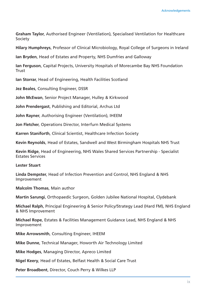**Graham Taylor**, Authorised Engineer (Ventilation), Specialised Ventilation for Healthcare Society

**Hilary Humphreys**, Professor of Clinical Microbiology, Royal College of Surgeons in Ireland

**Ian Bryden**, Head of Estates and Property, NHS Dumfries and Galloway

**Ian Ferguson**, Capital Projects, University Hospitals of Morecambe Bay NHS Foundation **Trust** 

**Ian Storrar**, Head of Engineering, Health Facilities Scotland

**Jez Beales**, Consulting Engineer, DSSR

**John McEwan**, Senior Project Manager, Hulley & Kirkwood

**John Prendergast**, Publishing and Editorial, Archus Ltd

**John Rayner**, Authorising Engineer (Ventilation), IHEEM

**Jon Fletcher**, Operations Director, Interfurn Medical Systems

**Karren Staniforth**, Clinical Scientist, Healthcare Infection Society

**Kevin Reynolds**, Head of Estates, Sandwell and West Birmingham Hospitals NHS Trust

**Kevin Ridge**, Head of Engineering, NHS Wales Shared Services Partnership - Specialist Estates Services

#### **Lester Stuart**

**Linda Dempster**, Head of Infection Prevention and Control, NHS England & NHS Improvement

**Malcolm Thomas**, Main author

**Martin Sarungi**, Orthopaedic Surgeon, Golden Jubilee National Hospital, Clydebank

**Michael Ralph**, Principal Engineering & Senior Policy/Strategy Lead (Hard FM), NHS England & NHS Improvement

**Michael Rope**, Estates & Facilities Management Guidance Lead, NHS England & NHS Improvement

**Mike Arrowsmith**, Consulting Engineer, IHEEM

**Mike Dunne**, Technical Manager, Howorth Air Technology Limited

**Mike Hodges**, Managing Director, Apreco Limited

**Nigel Keery**, Head of Estates, Belfast Health & Social Care Trust

**Peter Broadbent**, Director, Couch Perry & Wilkes LLP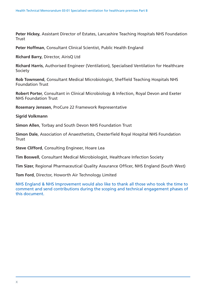**Peter Hickey**, Assistant Director of Estates, Lancashire Teaching Hospitals NHS Foundation **Trust** 

**Peter Hoffman**, Consultant Clinical Scientist, Public Health England

**Richard Barry**, Director, AirisQ Ltd

**Richard Harris**, Authorised Engineer (Ventilation), Specialised Ventilation for Healthcare Society

**Rob Townsend**, Consultant Medical Microbiologist, Sheffield Teaching Hospitals NHS Foundation Trust

**Robert Porter**, Consultant in Clinical Microbiology & Infection, Royal Devon and Exeter NHS Foundation Trust

**Rosemary Jenssen**, ProCure 22 Framework Representative

**Sigrid Volkmann**

**Simon Allen**, Torbay and South Devon NHS Foundation Trust

**Simon Dale**, Association of Anaesthetists, Chesterfield Royal Hospital NHS Foundation **Trust** 

**Steve Clifford**, Consulting Engineer, Hoare Lea

**Tim Boswell**, Consultant Medical Microbiologist, Healthcare Infection Society

**Tim Sizer**, Regional Pharmaceutical Quality Assurance Officer, NHS England (South West)

**Tom Ford**, Director, Howorth Air Technology Limited

NHS England & NHS Improvement would also like to thank all those who took the time to comment and send contributions during the scoping and technical engagement phases of this document.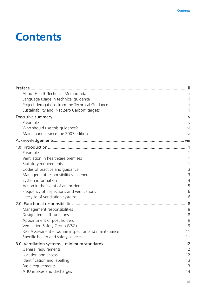# **Contents**

| About Health Technical Memoranda                     |                                       |
|------------------------------------------------------|---------------------------------------|
| Language usage in technical guidance                 | $\begin{array}{c} \hline \end{array}$ |
| Project derogations from the Technical Guidance      | Ϊij                                   |
| Sustainability and 'Net Zero Carbon' targets         | iii                                   |
|                                                      |                                       |
| Preamble                                             |                                       |
| Who should use this guidance?                        | V <sub>l</sub>                        |
| Main changes since the 2007 edition                  | VI                                    |
|                                                      |                                       |
|                                                      |                                       |
| Preamble                                             |                                       |
| Ventilation in healthcare premises                   |                                       |
| Statutory requirements                               |                                       |
| Codes of practice and guidance                       | З                                     |
| Management responsibilities - general                | 3                                     |
| System information                                   | 4                                     |
| Action in the event of an incident                   | 5                                     |
| Frequency of inspections and verifications           | 6                                     |
| Lifecycle of ventilation systems                     | 6                                     |
|                                                      |                                       |
| Management responsibilities                          | 8                                     |
| Designated staff functions                           | 8                                     |
| Appointment of post holders                          | 9                                     |
| Ventilation Safety Group (VSG)                       | 9                                     |
| Risk Assessment - routine inspection and maintenance | 11                                    |
| Specific health and safety aspects                   | 11                                    |
|                                                      |                                       |
| General requirements                                 | 12                                    |
| Location and access                                  | 12                                    |
| Identification and labelling                         | 13                                    |
| Basic requirements                                   | 13                                    |
| AHU intakes and discharges                           | 14                                    |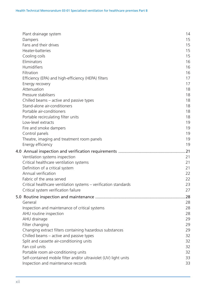| Plant drainage system                                            | 14 |
|------------------------------------------------------------------|----|
| Dampers                                                          | 15 |
| Fans and their drives                                            | 15 |
| Heater-batteries                                                 | 15 |
| Cooling coils                                                    | 15 |
| Eliminators                                                      | 16 |
| Humidifiers                                                      | 16 |
| Filtration                                                       | 16 |
| Efficiency (EPA) and high-efficiency (HEPA) filters              | 17 |
| Energy recovery                                                  | 17 |
| Attenuation                                                      | 18 |
| Pressure stabilisers                                             | 18 |
| Chilled beams – active and passive types                         | 18 |
| Stand-alone air-conditioners                                     | 18 |
| Portable air-conditioners                                        | 18 |
| Portable recirculating filter units                              | 18 |
| Low-level extracts                                               | 19 |
| Fire and smoke dampers                                           | 19 |
| Control panels                                                   | 19 |
| Theatre, imaging and treatment room panels                       | 19 |
| Energy efficiency                                                | 19 |
|                                                                  | 21 |
| Ventilation systems inspection                                   | 21 |
| Critical healthcare ventilation systems                          | 21 |
| Definition of a critical system                                  | 21 |
| Annual verification                                              | 22 |
| Fabric of the area served                                        | 22 |
| Critical healthcare ventilation systems – verification standards | 23 |
| Critical system verification failure                             | 27 |
|                                                                  | 28 |
| General                                                          | 28 |
| Inspection and maintenance of critical systems                   | 28 |
| AHU routine inspection                                           | 28 |
| AHU drainage                                                     | 29 |
| Filter changing                                                  | 29 |
| Changing extract filters containing hazardous substances         | 29 |
| Chilled beams – active and passive types                         | 32 |
| Split and cassette air-conditioning units                        | 32 |
| Fan coil units                                                   | 32 |
| Portable room air-conditioning units                             | 32 |
| Self-contained mobile filter and/or ultraviolet (UV) light units | 33 |
| Inspection and maintenance records                               | 33 |
|                                                                  |    |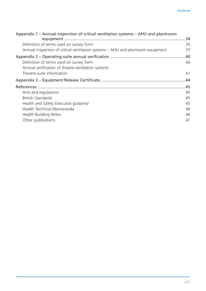| Appendix 1 - Annual inspection of critical ventilation systems - AHU and plantroom | 34  |
|------------------------------------------------------------------------------------|-----|
| Definition of terms used on survey form                                            | 35  |
| Annual inspection of critical ventilation systems - AHU and plantroom equipment    | 37  |
|                                                                                    | .40 |
| Definition of terms used on survey form                                            | 40  |
| Annual verification of theatre ventilation systems                                 |     |
| Theatre suite information                                                          | 41  |
|                                                                                    | .44 |
|                                                                                    | .45 |
| Acts and regulations                                                               | 45  |
| <b>British Standards</b>                                                           | 45  |
| Health and Safety Executive guidance                                               | 45  |
| Health Technical Memoranda                                                         | 46  |
| <b>Health Building Notes</b>                                                       | 46  |
| Other publications                                                                 | 47  |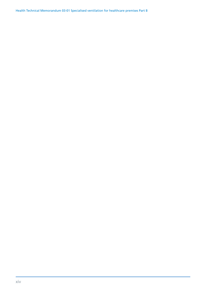Health Technical Memorandum 03-01 Specialised ventilation for healthcare premises Part B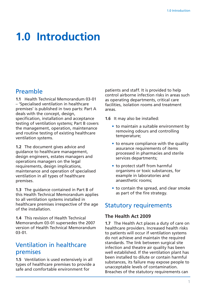# **1.0 Introduction**

## Preamble

**1.1** Health Technical Memorandum 03-01 – 'Specialised ventilation in healthcare premises' is published in two parts: Part A deals with the concept, design, specification, installation and acceptance testing of ventilation systems; Part B covers the management, operation, maintenance and routine testing of existing healthcare ventilation systems.

**1.2** The document gives advice and guidance to healthcare management, design engineers, estates managers and operations managers on the legal requirements, design implications, maintenance and operation of specialised ventilation in all types of healthcare premises.

**1.3** The guidance contained in Part B of this Health Technical Memorandum applies to all ventilation systems installed in healthcare premises irrespective of the age of the installation.

**1.4** This revision of Health Technical Memorandum 03-01 supersedes the 2007 version of Health Technical Memorandum 03-01.

## Ventilation in healthcare premises

**1.5** Ventilation is used extensively in all types of healthcare premises to provide a safe and comfortable environment for

patients and staff. It is provided to help control airborne infection risks in areas such as operating departments, critical care facilities, isolation rooms and treatment areas.

- **1.6** It may also be installed:
	- to maintain a suitable environment by removing odours and controlling temperature;
	- to ensure compliance with the quality assurance requirements of items processed in pharmacies and sterile services departments;
	- to protect staff from harmful organisms or toxic substances, for example in laboratories and anaesthetic rooms;
	- to contain the spread, and clear smoke as part of the fire strategy.

### Statutory requirements

#### **The Health Act 2009**

**1.7** The Health Act places a duty of care on healthcare providers. Increased health risks to patients will occur if ventilation systems do not achieve and maintain the required standards. The link between surgical site infection and theatre air quality has been well established. If the ventilation plant has been installed to dilute or contain harmful substances, its failure may expose people to unacceptable levels of contamination. Breaches of the statutory requirements can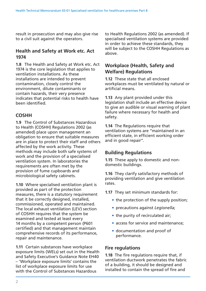result in prosecution and may also give rise to a civil suit against the operators.

#### **Health and Safety at Work etc. Act 1974**

**1.8** The Health and Safety at Work etc. Act 1974 is the core legislation that applies to ventilation installations. As these installations are intended to prevent contamination, closely control the environment, dilute contaminants or contain hazards, their very presence indicates that potential risks to health have been identified.

#### **COSHH**

**1.9** The Control of Substances Hazardous to Health (COSHH) Regulations 2002 (as amended) place upon management an obligation to ensure that suitable measures are in place to protect their staff and others affected by the work activity. These methods may include both safe systems of work and the provision of a specialised ventilation system. In laboratories the requirements are often met by the provision of fume cupboards and microbiological safety cabinets.

**1.10** Where specialised ventilation plant is provided as part of the protection measures, there is a statutory requirement that it be correctly designed, installed, commissioned, operated and maintained. The local exhaust ventilation (LEV) section of COSHH requires that the system be examined and tested at least every 14 months by a competent person (P601 certified) and that management maintain comprehensive records of its performance, repair and maintenance.

**1.11** Certain substances have workplace exposure limits (WELs) set out in the Health and Safety Executive's Guidance Note EH40 – 'Workplace exposure limits' contains the list of workplace exposure limits for use with the Control of Substances Hazardous

to Health Regulations 2002 (as amended). If specialised ventilation systems are provided in order to achieve these standards, they will be subject to the COSHH Regulations as above.

#### **Workplace (Health, Safety and Welfare) Regulations**

**1.12** These state that all enclosed workplaces must be ventilated by natural or artificial means.

**1.13** Any plant provided under this legislation shall include an effective device to give an audible or visual warning of plant failure where necessary for health and safety.

**1.14** The Regulations require that ventilation systems are "maintained in an efficient state, in efficient working order and in good repair".

#### **Building Regulations**

**1.15** These apply to domestic and nondomestic buildings.

**1.16** They clarify satisfactory methods of providing ventilation and give ventilation rates.

- **1.17** They set minimum standards for:
	- the protection of the supply position;
	- precautions against *Legionella*;
	- the purity of recirculated air;
	- access for service and maintenance:
	- documentation and proof of performance.

#### **Fire regulations**

**1.18** The fire regulations require that, if ventilation ductwork penetrates the fabric of a building, it should be designed and installed to contain the spread of fire and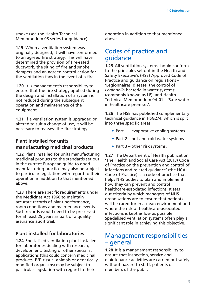smoke (see the Health Technical Memorandum 05 series for guidance).

**1.19** When a ventilation system was originally designed, it will have conformed to an agreed fire strategy. This will have determined the provision of fire-rated ductwork, the siting of fire and smoke dampers and an agreed control action for the ventilation fans in the event of a fire.

**1.20** It is management's responsibility to ensure that the fire strategy applied during the design and installation of a system is not reduced during the subsequent operation and maintenance of the equipment.

**1.21** If a ventilation system is upgraded or altered to suit a change of use, it will be necessary to reassess the fire strategy.

#### **Plant installed for units manufacturing medicinal products**

**1.22** Plant installed for units manufacturing medicinal products to the standards set out in the current European guide to good manufacturing practice may also be subject to particular legislation with regard to their operation in addition to that mentioned above.

**1.23** There are specific requirements under the Medicines Act 1968 to maintain accurate records of plant performance, room conditions and maintenance events. Such records would need to be preserved for at least 25 years as part of a quality assurance audit trail.

#### **Plant installed for laboratories**

**1.24** Specialised ventilation plant installed for laboratories dealing with research, development, testing or other specialist applications (this could concern medicinal products, IVF, tissue, animals or genetically modified organisms) may be subject to particular legislation with regard to their

operation in addition to that mentioned above.

## Codes of practice and guidance

**1.25** All ventilation systems should conform to the principles set out in the Health and Safety Executive's (HSE) Approved Code of Practice and guidance on regulations – 'Legionnaires' disease: the control of *Legionella* bacteria in water systems' (commonly known as L8), and Health Technical Memorandum 04-01 – 'Safe water in healthcare premises'.

**1.26** The HSE has published complementary technical guidance in HSG274, which is split into three specific areas:

- Part 1 evaporative cooling systems
- Part 2 hot and cold water systems
- Part 3 other risk systems.

**1.27** The Department of Health publication 'The Health and Social Care Act (2013) Code of Practice on the prevention and control of infections and related guidance' (the HCAI Code of Practice) is a code of practice that helps NHS bodies to plan and implement how they can prevent and control healthcare-associated infections. It sets out criteria by which managers of NHS organisations are to ensure that patients will be cared for in a clean environment and where the risk of healthcare-associated infections is kept as low as possible. Specialised ventilation systems often play a significant role in achieving this objective.

### Management responsibilities – general

**1.28** It is a management responsibility to ensure that inspection, service and maintenance activities are carried out safely without hazard to staff, patients or members of the public.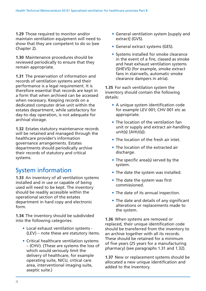**1.29** Those required to monitor and/or maintain ventilation equipment will need to show that they are competent to do so (see Chapter 2).

**1.30** Maintenance procedures should be reviewed periodically to ensure that they remain appropriate.

**1.31** The preservation of information and records of ventilation systems and their performance is a legal requirement. It is therefore essential that records are kept in a form that when archived can be accessed when necessary. Keeping records on a dedicated computer drive unit within the estates department, while satisfactory for day-to-day operation, is not adequate for archival storage.

**1.32** Estates statutory maintenance records will be retained and managed through the healthcare provider's information governance arrangements. Estates departments should periodically archive their records of statutory and critical systems.

# System information

**1.33** An inventory of all ventilation systems installed and in use or capable of being used will need to be kept. The inventory should be readily accessible within the operational section of the estates department in hard copy and electronic form.

**1.34** The inventory should be subdivided into the following categories:

- Local exhaust ventilation systems (LEV) – note these are statutory items.
- Critical healthcare ventilation systems – (CHV). (These are systems the loss of which would seriously limit the delivery of healthcare, for example operating suite, NICU, critical care area, interventional imaging suite, aseptic suite.)
- General ventilation system [supply and extract] (GVS).
- General extract systems (GES).
- Systems installed for smoke clearance in the event of a fire, classed as smoke and heat exhaust ventilation systems (SHEVS) (for example, smoke extract fans in stairwells, automatic smoke clearance dampers in atria).

**1.35** For each ventilation system the inventory should contain the following details:

- A unique system identification code for example LEV 001; CHV 001 etc as appropriate.
- The location of the ventilation fan unit or supply and extract air-handling unit(s) (AHU(s)).
- The location of the fresh air inlet.
- The location of the extracted air discharge.
- The specific area(s) served by the system.
- The date the system was installed.
- The date the system was first commissioned.
- The date of its annual inspection.
- The date and details of any significant alterations or replacements made to the system.

**1.36** When systems are removed or replaced, their unique identification code should be transferred from the inventory to an archive together with all its records. These should be retained for a minimum of five years (25 years for a manufacturing pharmacy) (see paragraphs 1.31 and 1.32).

**1.37** New or replacement systems should be allocated a new unique identification and added to the inventory.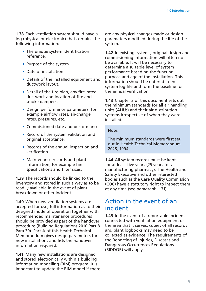**1.38** Each ventilation system should have a log (physical or electronic) that contains the following information:

- The unique system identification reference.
- Purpose of the system.
- Date of installation.
- Details of the installed equipment and ductwork layout.
- Detail of the fire plan, any fire-rated ductwork and location of fire and smoke dampers.
- Design performance parameters, for example airflow rates, air-change rates, pressures, etc.
- Commissioned date and performance.
- Record of the system validation and original acceptance.
- Records of the annual inspection and verification.
- Maintenance records and plant information, for example fan specifications and filter sizes.

**1.39** The records should be linked to the inventory and stored in such a way as to be readily available in the event of plant breakdown or other incident.

**1.40** When new ventilation systems are accepted for use, full information as to their designed mode of operation together with recommended maintenance procedures should be provided as part of the handover procedure (Building Regulations 2010 Part 8 Para 39). Part A of this Health Technical Memorandum gives design parameters for new installations and lists the handover information required.

**1.41** Many new installations are designed and stored electronically within a building information modelling (BIM) program. It is important to update the BIM model if there are any physical changes made or design parameters modified during the life of the system.

**1.42** In existing systems, original design and commissioning information will often not be available. It will be necessary to determine a suitable level of system performance based on the function, purpose and age of the installation. This information should be entered in the system log file and form the baseline for the annual verification.

**1.43** Chapter 3 of this document sets out the minimum standards for all air handling units (AHUs) and their air distribution systems irrespective of when they were installed.

#### Note:

The minimum standards were first set out in Health Technical Memorandum 2025, 1994.

**1.44** All system records must be kept for at least five years (25 years for a manufacturing pharmacy). The Health and Safety Executive and other interested bodies such as the Care Quality Commission (CQC) have a statutory right to inspect them at any time (see paragraph 1.31).

## Action in the event of an incident

**1.45** In the event of a reportable incident connected with ventilation equipment or the area that it serves, copies of all records and plant logbooks may need to be collected as evidence. The requirements of the Reporting of Injuries, Diseases and Dangerous Occurrences Regulations (RIDDOR) will apply.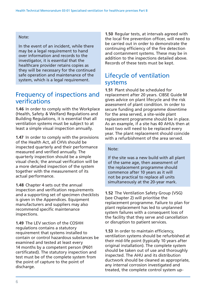#### Note:

In the event of an incident, while there may be a legal requirement to hand over information and records to the investigator, it is essential that the healthcare provider retains copies as they will be necessary for the continued safe operation and maintenance of the system, which is a legal requirement.

## Frequency of inspections and verifications

**1.46** In order to comply with the Workplace (Health, Safety & Welfare) Regulations and Building Regulations, it is essential that all ventilation systems must be subject to at least a simple visual inspection annually.

**1.47** In order to comply with the provisions of the Health Act, all CHVs should be inspected quarterly and their performance measured and verified annually. The quarterly inspection should be a simple visual check; the annual verification will be a more detailed inspection of the system together with the measurement of its actual performance.

**1.48** Chapter 4 sets out the annual inspection and verification requirements and a supporting set of specimen checklists is given in the Appendices. Equipment manufacturers and suppliers may also recommend specific maintenance inspections.

**1.49** The LEV section of the COSHH regulations contains a statutory requirement that systems installed to contain or control hazardous substances be examined and tested at least every 14 months by a competent person (P601 certificated). The statutory inspection and test must be of the complete system from the point of capture to the point of discharge.

**1.50** Regular tests, at intervals agreed with the local fire prevention officer, will need to be carried out in order to demonstrate the continuing efficiency of the fire detection and containment systems. These may be in addition to the inspections detailed above. Records of these tests must be kept.

## Lifecycle of ventilation systems

**1.51** Plant should be scheduled for replacement after 20 years. CIBSE Guide M gives advice on plant lifecycle and the risk assessment of plant condition. In order to secure funding and programme downtime for the area served, a site-wide plant replacement programme should be in place. As an example, if a site has 40 AHUs then at least two will need to be replaced every year. The plant replacement should coincide with a refurbishment of the area served.

#### Note:

If the site was a new build with all plant of the same age, then assessment of the replacement programme should commence after 10 years as it will not be practical to replace all units simultaneously at the 20-year mark.

**1.52** The Ventilation Safety Group (VSG) (see Chapter 2) will prioritise the replacement programme. Failure to plan for plant replacement has led to unplanned system failures with a consequent loss of the facility that they serve and cancellation or disruption to patient services.

**1.53** In order to maintain efficiency, ventilation systems should be refurbished at their mid-life point (typically 10 years after original installation). The complete system should be taken out of use and thoroughly inspected. The AHU and its distribution ductwork should be cleaned as appropriate, any internal corrosion investigated and treated, the complete control system up-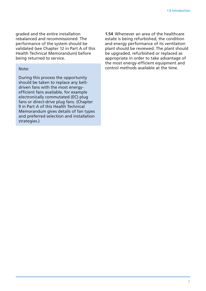graded and the entire installation rebalanced and recommissioned. The performance of the system should be validated (see Chapter 12 in Part A of this Health Technical Memorandum) before being returned to service.

#### Note:

During this process the opportunity should be taken to replace any beltdriven fans with the most energyefficient fans available, for example electronically commutated (EC) plug fans or direct-drive plug fans. (Chapter 9 in Part A of this Health Technical Memorandum gives details of fan types and preferred selection and installation strategies.)

**1.54** Whenever an area of the healthcare estate is being refurbished, the condition and energy performance of its ventilation plant should be reviewed. The plant should be upgraded, refurbished or replaced as appropriate in order to take advantage of the most energy-efficient equipment and control methods available at the time.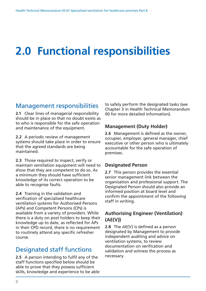# **2.0 Functional responsibilities**

## Management responsibilities

**2.1** Clear lines of managerial responsibility should be in place so that no doubt exists as to who is responsible for the safe operation and maintenance of the equipment.

**2.2** A periodic review of management systems should take place in order to ensure that the agreed standards are being maintained.

**2.3** Those required to inspect, verify or maintain ventilation equipment will need to show that they are competent to do so. As a minimum they should have sufficient knowledge of its correct operation to be able to recognise faults.

**2.4** Training in the validation and verification of specialised healthcare ventilation systems for Authorised Persons (APs) and Competent Persons (CPs) is available from a variety of providers. While there is a duty on post holders to keep their knowledge up to date, as reflected for APs in their CPD record, there is no requirement to routinely attend any specific refresher course.

## Designated staff functions

**2.5** A person intending to fulfil any of the staff functions specified below should be able to prove that they possess sufficient skills, knowledge and experience to be able to safely perform the designated tasks (see Chapter 3 in Health Technical Memorandum 00 for more detailed information).

#### **Management (Duty Holder)**

**2.6** Management is defined as the owner, occupier, employer, general manager, chief executive or other person who is ultimately accountable for the safe operation of premises.

#### **Designated Person**

**2.7** This person provides the essential senior management link between the organisation and professional support. The Designated Person should also provide an informed position at board level and confirm the appointment of the following staff in writing.

#### **Authorising Engineer (Ventilation) (AE(V))**

**2.8** The AE(V) is defined as a person designated by Management to provide independent auditing and advice on ventilation systems, to review documentation on verification and validation and witness the process as necessary.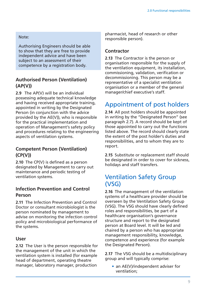#### Note:

Authorising Engineers should be able to show that they are free to provide independent advice and have been subject to an assessment of their competence by a registration body.

### **Authorised Person (Ventilation) (AP(V))**

**2.9** The AP(V) will be an individual possessing adequate technical knowledge and having received appropriate training, appointed in writing by the Designated Person (in conjunction with the advice provided by the AE(V)), who is responsible for the practical implementation and operation of Management's safety policy and procedures relating to the engineering aspects of ventilation systems.

#### **Competent Person (Ventilation) (CP(V))**

**2.10** The CP(V) is defined as a person designated by Management to carry out maintenance and periodic testing of ventilation systems.

#### **Infection Prevention and Control Person**

**2.11** The Infection Prevention and Control Doctor or consultant microbiologist is the person nominated by management to advise on monitoring the infection control policy and microbiological performance of the systems.

#### **User**

**2.12** The User is the person responsible for the management of the unit in which the ventilation system is installed (for example head of department, operating theatre manager, laboratory manager, production

pharmacist, head of research or other responsible person).

### **Contractor**

**2.13** The Contractor is the person or organisation responsible for the supply of the ventilation equipment, its installation, commissioning, validation, verification or decommissioning. This person may be a representative of a specialist ventilation organisation or a member of the general manager/chief executive's staff.

# Appointment of post holders

**2.14** All post holders should be appointed in writing by the "Designated Person" (see paragraph 2.7). A record should be kept of those appointed to carry out the functions listed above. The record should clearly state the extent of the post holder's duties and responsibilities, and to whom they are to report.

**2.15** Substitute or replacement staff should be designated in order to cover for sickness, holidays and staff transfers.

## Ventilation Safety Group (VSG)

**2.16** The management of the ventilation systems of a healthcare provider should be overseen by the Ventilation Safety Group (VSG). The VSG should have clearly defined roles and responsibilities, be part of a healthcare organisation's governance structure and report to the designated person at Board level. It will be led and chaired by a person who has appropriate management responsibility, knowledge, competence and experience (for example the Designated Person).

**2.17** The VSG should be a multidisciplinary group and will typically comprise:

• an AE(V)/independent adviser for ventilation;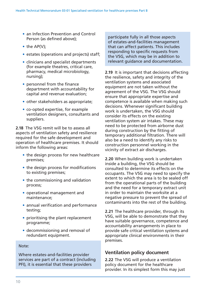- an Infection Prevention and Control Person (as defined above);
- the AP(V):
- estates (operations and projects) staff;
- clinicians and specialist departments (for example theatres, critical care, pharmacy, medical microbiology, nursing);
- personnel from the finance department with accountability for capital and revenue evaluation;
- other stakeholders as appropriate;
- co-opted expertise, for example ventilation designers, consultants and suppliers.

**2.18** The VSG remit will be to assess all aspects of ventilation safety and resilience required for the safe development and operation of healthcare premises. It should inform the following areas:

- the design process for new healthcare premises;
- the design process for modifications to existing premises;
- the commissioning and validation process;
- operational management and maintenance;
- annual verification and performance testing;
- prioritising the plant replacement programme;
- decommissioning and removal of redundant equipment.

#### Note:

Where estates-and-facilities provider services are part of a contract (including PFI), it is essential that these providers

participate fully in all those aspects of estates-and-facilities management that can affect patients. This includes responding to specific requests from the VSG, which may be in addition to relevant guidance and documentation.

**2.19** It is important that decisions affecting the resilience, safety and integrity of the ventilation systems and associated equipment are not taken without the agreement of the VSG. The VSG should ensure that appropriate expertise and competence is available when making such decisions. Whenever significant building work is undertaken, the VSG should consider its effects on the existing ventilation system air intakes. These may need to be protected from airborne dust during construction by the fitting of temporary additional filtration. There will also be a need to identify any risks to construction personnel working in the vicinity of extract air discharges.

**2.20** When building work is undertaken inside a building, the VSG should be consulted to determine its effects on the occupants. The VSG may need to specify the extent to which the area is to be sealed off from the operational parts of the building and the need for a temporary extract unit in order to maintain the worksite at a negative pressure to prevent the spread of contaminants into the rest of the building.

**2.21** The healthcare provider, through its VSG, will be able to demonstrate that they have suitable governance, competence and accountability arrangements in place to provide safe critical ventilation systems and appropriate clinical environments in their premises.

#### **Ventilation policy document**

**2.22** The VSG will produce a ventilation policy document for the healthcare provider. In its simplest form this may just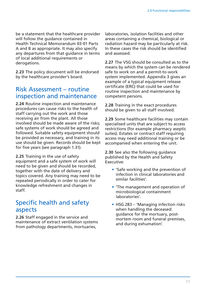be a statement that the healthcare provider will follow the guidance contained in Health Technical Memorandum 03-01 Parts A and B as appropriate. It may also specify any departures from that guidance in terms of local additional requirements or derogations.

**2.23** The policy document will be endorsed by the healthcare provider's board.

## Risk Assessment – routine inspection and maintenance

**2.24** Routine inspection and maintenance procedures can cause risks to the health of staff carrying out the work and those receiving air from the plant. All those involved should be made aware of the risks; safe systems of work should be agreed and followed. Suitable safety equipment should be provided as necessary, and training in its use should be given. Records should be kept for five years (see paragraph 1.31).

**2.25** Training in the use of safety equipment and a safe system of work will need to be given and should be recorded, together with the date of delivery and topics covered. Any training may need to be repeated periodically in order to cater for knowledge refreshment and changes in staff.

## Specific health and safety aspects

**2.26** Staff engaged in the service and maintenance of extract ventilation systems from pathology departments, mortuaries,

laboratories, isolation facilities and other areas containing a chemical, biological or radiation hazard may be particularly at risk. In these cases the risk should be identified and assessed.

**2.27** The VSG should be consulted as to the means by which the system can be rendered safe to work on and a permit-to-work system implemented. Appendix 3 gives an example of a typical equipment release certificate (ERC) that could be used for routine inspection and maintenance by competent persons.

**2.28** Training in the exact procedures should be given to all staff involved.

**2.29** Some healthcare facilities may contain specialised units that are subject to access restrictions (for example pharmacy aseptic suites). Estates or contract staff requiring access may need additional training or be accompanied when entering the unit.

**2.30** See also the following guidance published by the Health and Safety Executive:

- 'Safe working and the prevention of infection in clinical laboratories and similar facilities'.
- 'The management and operation of microbiological containment laboratories'.
- HSG 283 'Managing infection risks when handling the deceased: auidance for the mortuary, postmortem room and funeral premises, and during exhumation'.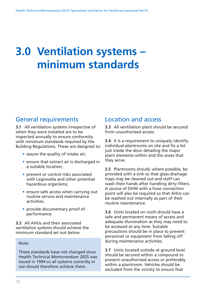# **3.0 Ventilation systems – minimum standards**

## General requirements

**3.1** All ventilation systems irrespective of when they were installed are to be inspected annually to ensure conformity with minimum standards required by the Building Regulations. These are designed to:

- assure the quality of intake air;
- ensure that extract air is discharged in a suitable location;
- prevent or control risks associated with Legionella and other potential hazardous organisms;
- ensure safe access when carrying out routine service and maintenance activities;
- provide documentary proof of performance.

**3.2** All AHUs and their associated ventilation systems should achieve the minimum standard set out below.

#### Note:

These standards have not changed since Health Technical Memorandum 2025 was issued in 1994 so all systems currently in use should therefore achieve them.

### Location and access

**3.3** All ventilation plant should be secured from unauthorised access.

**3.4** It is a requirement to uniquely identify individual plantrooms on site and fix a list just inside the door detailing the major plant elements within and the areas that they serve.

**3.5** Plantrooms should, where possible, be provided with a sink so that glass drainage traps may be cleaned out and staff can wash their hands after handling dirty filters. A source of DHW with a hose connection point will also be required so that AHUs can be washed out internally as part of their routine maintenance.

**3.6** Units located on roofs should have a safe and permanent means of access and adequate illumination as they may need to be accessed at any time. Suitable precautions should be in place to prevent personnel or equipment from falling off during maintenance activities.

**3.7** Units located outside at ground level should be secured within a compound to prevent unauthorised access or preferably within a plantroom. Vehicles should be excluded from the vicinity to ensure that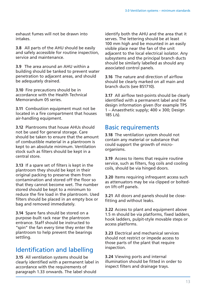exhaust fumes will not be drawn into intakes.

**3.8** All parts of the AHU should be easily and safely accessible for routine inspection, service and maintenance.

**3.9** The area around an AHU within a building should be tanked to prevent water penetration to adjacent areas, and should be adequately drained.

**3.10** Fire precautions should be in accordance with the Health Technical Memorandum 05 series.

**3.11** Combustion equipment must not be located in a fire compartment that houses air-handling equipment.

**3.12** Plantrooms that house AHUs should not be used for general storage. Care should be taken to ensure that the amount of combustible material in a plantroom is kept to an absolute minimum. Ventilation stock such as filters should be kept in a central store.

**3.13** If a spare set of filters is kept in the plantroom they should be kept in their original packing to preserve them from contamination and stored off the floor so that they cannot become wet. The number stored should be kept to a minimum to reduce the fire load in the plantroom. Used filters should be placed in an empty box or bag and removed immediately.

**3.14** Spare fans should be stored on a purpose-built rack near the plantroom entrance. Staff should be instructed to "spin" the fan every time they enter the plantroom to help prevent the bearings settling.

## Identification and labelling

**3.15** All ventilation systems should be clearly identified with a permanent label in accordance with the requirements of paragraph 1.33 onwards. The label should

identify both the AHU and the area that it serves. The lettering should be at least 100 mm high and be mounted in an easily visible place near the fan of the unit adjacent to the local electrical isolator. Any subsystems and the principal branch ducts should be similarly labelled as should any associated control panels.

**3.16** The nature and direction of airflow should be clearly marked on all main and branch ducts (see BS1710).

**3.17** All airflow test-points should be clearly identified with a permanent label and the design information given (for example TPS 1 – Anaesthetic supply; 400 × 300; Design 185 L/s).

## Basic requirements

**3.18** The ventilation system should not contain any material or substance that could support the growth of microorganisms.

**3.19** Access to items that require routine service, such as filters, fog coils and cooling coils, should be via hinged doors.

**3.20** Items requiring infrequent access such as attenuators may be via clipped or boltedon lift-off panels.

**3.21** All doors and panels should be closefitting and without leaks.

**3.22** Access to plant and equipment above 1.5 m should be via platforms, fixed ladders, hook ladders, pulpit-style movable steps or access platforms.

**3.23** Electrical and mechanical services should not restrict or impede access to those parts of the plant that require inspection.

**3.24** Viewing ports and internal illumination should be fitted in order to inspect filters and drainage trays.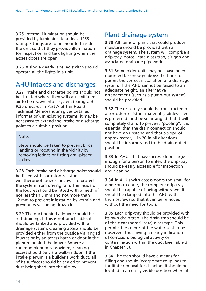**3.25** Internal illumination should be provided by luminaires to at least IP55 rating. Fittings are to be mounted inside the unit so that they provide illumination for inspection and task lighting when the access doors are open.

**3.26** A single clearly labelled switch should operate all the lights in a unit.

## AHU intakes and discharges

**3.27** Intake and discharge points should not be situated where they will cause vitiated air to be drawn into a system (paragraph 9.30 onwards in Part A of this Health Technical Memorandum gives detailed information). In existing systems, it may be necessary to extend the intake or discharge point to a suitable position.

#### Note:

Steps should be taken to prevent birds landing or roosting in the vicinity by removing ledges or fitting anti-pigeon spikes.

**3.28** Each intake and discharge point should be fitted with corrosion-resistant weatherproof louvres or cowls to protect the system from driving rain. The inside of the louvres should be fitted with a mesh of not less than 6 mm and not more than 12 mm to prevent infestation by vermin and prevent leaves being drawn in.

**3.29** The duct behind a louvre should be self-draining. If this is not practicable, it should be tanked and provided with a drainage system. Cleaning access should be provided either from the outside via hinged louvres or by an access hatch or door in the plenum behind the louvre. Where a common plenum is provided, cleaning access should be via a walk-in door. If the intake plenum is a builder's work duct, all of its surfaces should be sealed to prevent dust being shed into the airflow.

## Plant drainage system

**3.30** All items of plant that could produce moisture should be provided with a drainage system. The system will comprise a drip-tray, borosilicate glass trap, air gap and associated drainage pipework.

**3.31** Some older units may not have been mounted far enough above the floor to permit the correct installation of a drainage system. If the AHU cannot be raised to an adequate height, an alternative arrangement (such as a pump-out system) should be provided.

**3.32** The drip-tray should be constructed of a corrosion-resistant material (stainless steel is preferred) and be so arranged that it will completely drain. To prevent "pooling", it is essential that the drain connection should not have an upstand and that a slope of approximately 1 in 20 in all directions should be incorporated to the drain outlet position.

**3.33** In AHUs that have access doors large enough for a person to enter, the drip-tray should be easily accessible for inspection and cleaning.

**3.34** In AHUs with access doors too small for a person to enter, the complete drip-tray should be capable of being withdrawn. It should be clamped into the AHU with thumbscrews so that it can be removed without the need for tools.

**3.35** Each drip-tray should be provided with its own drain trap. The drain trap should be of the clear (borosilicate) glass type. This permits the colour of the water seal to be observed, thus giving an early indication of corrosion, biological activity or contamination within the duct (see Table 3 in Chapter 5).

**3.36** The trap should have a means for filling and should incorporate couplings to facilitate removal for cleaning. It should be located in an easily visible position where it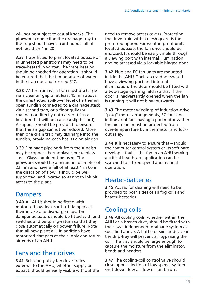will not be subject to casual knocks. The pipework connecting the drainage tray to the trap should have a continuous fall of not less than 1 in 20.

**3.37** Traps fitted to plant located outside or in unheated plantrooms may need to be trace-heated in winter. The trace heating should be checked for operation. It should be ensured that the temperature of water in the trap does not exceed 5°C.

**3.38** Water from each trap must discharge via a clear air gap of at least 15 mm above the unrestricted spill-over level of either an open tundish connected to a drainage stack via a second trap, or a floor gully (or channel) or directly onto a roof (if in a location that will not cause a slip hazard). A support should be provided to ensure that the air gap cannot be reduced. More than one drain trap may discharge into the tundish, providing each has its own air gap.

**3.39** Drainage pipework from the tundish may be copper, thermoplastic or stainless steel. Glass should not be used. The pipework should be a minimum diameter of 22 mm and have a fall of at least 1 in 60 in the direction of flow. It should be well supported, and located so as not to inhibit access to the plant.

# Dampers

**3.40** All AHUs should be fitted with motorised low-leak shut-off dampers at their intake and discharge ends. The damper actuators should be fitted with end switches and be spring-return so that they close automatically on power failure. Note that all new plant will in addition have motorised dampers at the supply and return air ends of an AHU.

# Fans and their drives

**3.41** Belt-and-pulley fan drive-trains external to the AHU, whether supply or extract, should be easily visible without the need to remove access covers. Protecting the drive-train with a mesh guard is the preferred option. For weatherproof units located outside, the fan drive should be enclosed. It should be easily visible through a viewing port with internal illumination and be accessed via a lockable hinged door.

**3.42** Plug and EC fan units are mounted inside the AHU. Their access door should have a viewing port and internal illumination. The door should be fitted with a two-stage opening latch so that if the door is inadvertently opened when the fan is running it will not blow outwards.

**3.43** The motor windings of induction-drive "plug" motor arrangements, EC fans and in-line axial fans having a pod motor within the airstream must be protected from over-temperature by a thermistor and lockout relay.

**3.44** It is necessary to ensure that – should the computer control system or its software develop a fault – the fan in an AHU serving a critical healthcare application can be switched to a fixed speed and manual operation.

## Heater-batteries

**3.45** Access for cleaning will need to be provided to both sides of all fog coils and heater-batteries.

# Cooling coils

**3.46** All cooling coils, whether within the AHU or a branch duct, should be fitted with their own independent drainage system as specified above. A baffle or similar device in the drip-tray will prevent air bypassing the coil. The tray should be large enough to capture the moisture from the eliminator, bends and headers.

**3.47** The cooling-coil control valve should close upon selection of low speed, system shut-down, low airflow or fan failure.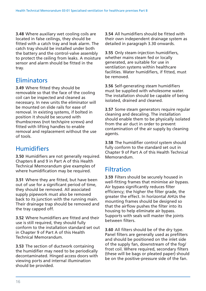**3.48** Where auxiliary wet cooling coils are located in false ceilings, they should be fitted with a catch tray and leak alarm. The catch tray should be installed under both the battery and the control-valve assembly to protect the ceiling from leaks. A moisture sensor and alarm should be fitted in the tray.

# **Eliminators**

**3.49** Where fitted they should be removable so that the face of the cooling coil can be inspected and cleaned as necessary. In new units the eliminator will be mounted on slide rails for ease of removal. In existing systems, if bolted in position it should be secured with thumbscrews (not tech/spire screws) and fitted with lifting handles to enable removal and replacement without the use of tools.

# **Humidifiers**

**3.50** Humidifiers are not generally required. Chapters 8 and 9 in Part A of this Health Technical Memorandum give examples of where humidification may be required.

**3.51** Where they are fitted, but have been out of use for a significant period of time, they should be removed. All associated supply pipework must also be removed back to its junction with the running main. Their drainage trap should be removed and the tray capped off.

**3.52** Where humidifiers are fitted and their use is still required, they should fully conform to the installation standard set out in Chapter 9 of Part A of this Health Technical Memorandum.

**3.53** The section of ductwork containing the humidifier may need to be periodically decontaminated. Hinged access doors with viewing ports and internal illumination should be provided.

**3.54** All humidifiers should be fitted with their own independent drainage system as detailed in paragraph 3.30 onwards.

**3.55** Only steam-injection humidifiers, whether mains steam fed or locally generated, are suitable for use in ventilation systems within healthcare facilities. Water humidifiers, if fitted, must be removed.

**3.56** Self-generating steam humidifiers must be supplied with wholesome water. The installation should be capable of being isolated, drained and cleaned.

**3.57** Some steam generators require regular cleaning and descaling. The installation should enable them to be physically isolated from the air duct in order to prevent contamination of the air supply by cleaning agents.

**3.58** The humidifier control system should fully conform to the standard set out in Chapter 9 of Part A of this Health Technical Memorandum.

# Filtration

**3.59** Filters should be securely housed in well-fitting frames that minimise air bypass. Air bypass significantly reduces filter efficiency; the higher the filter grade, the greater the effect. In horizontal AHUs the mounting frames should be designed so that the airflow pushes the filter into its housing to help eliminate air bypass. Supports with seals will master the joints between filters.

**3.60** All filters should be of the dry type. Panel filters are generally used as prefilters and should be positioned on the inlet side of the supply fan, downstream of the fog/ frost coil. Where required, secondary filters (these will be bags or pleated paper) should be on the positive-pressure side of the fan.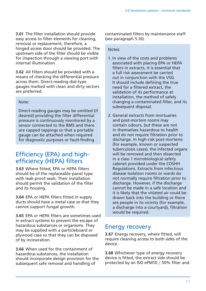**3.61** The filter installation should provide easy access to filter elements for cleaning, removal or replacement; therefore, a hinged access door should be provided. The upstream side of the filter should be visible for inspection through a viewing port with internal illumination.

**3.62** All filters should be provided with a means of checking the differential pressure across them. Direct-reading dial-type gauges marked with clean and dirty sectors are preferred.

#### Note:

Direct-reading gauges may be omitted (if desired) providing the filter differential pressure is continuously monitored by a sensor connected to the BMS and there are capped tappings so that a portable gauge can be attached when required for diagnostic purposes or fault-finding.

## Efficiency (EPA) and highefficiency (HEPA) filters

**3.63** Where fitted, EPA or HEPA filters should be of the replaceable-panel type with leak-proof seals. Their installation should permit the validation of the filter and its housing.

**3.64** EPA or HEPA filters fitted in supply ducts should have a metal case so that they cannot support fungal growth.

**3.65** EPA or HEPA filters are sometimes used in extract systems to prevent the escape of hazardous substances or organisms. They may be supplied with a particleboard or plywood case so that they can be disposed of by incineration.

**3.66** When used for the containment of hazardous substances, the installation should incorporate design provision for the subsequent safe removal and handling of

contaminated filters by maintenance staff (see paragraph 5.16).

#### Notes:

- 1. In view of the costs and problems associated with placing EPA or HEPA filters in extracts, it is essential that a full risk assessment be carried out in conjunction with the VSG. It should include defining the true need for a filtered extract, the validation of its performance at installation, the method of safely changing a contaminated filter, and its subsequent disposal.
- 2. General extracts from mortuaries and post-mortem rooms may contain odours, but these are not in themselves hazardous to health and do not require filtration prior to discharge. In high-risk post-mortems (for example, known or suspected tuberculosis cases), the infected organs will be removed and then dissected in a class 1 microbiological safety cabinet provided under the COSHH Regulations. Extracts from infectious disease Isolation rooms or wards do not normally require filtration prior to discharge. However, if the discharge cannot be made in a safe location and it is likely that the vitiated air could be drawn back into the building or there are people in its vicinity (for example, a discharge into a courtyard), filtration would be required.

## Energy recovery

**3.67** Energy recovery, where fitted, will require cleaning access to both sides of the device.

**3.68** Whichever type of energy recovery device is fitted, the extract side should be protected by an ISO ePM10 ≥ 50% filter and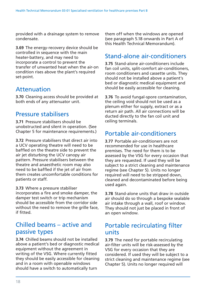provided with a drainage system to remove condensate.

**3.69** The energy-recovery device should be controlled in sequence with the main heater-battery, and may need to incorporate a control to prevent the transfer of unwanted heat when the air-on condition rises above the plant's required set-point.

### **Attenuation**

**3.70** Cleaning access should be provided at both ends of any attenuator unit.

### Pressure stabilisers

**3.71** Pressure stabilisers should be unobstructed and silent in operation. (See Chapter 5 for maintenance requirements.)

**3.72** Pressure stabilisers that direct air into a UCV operating theatre will need to be baffled on the theatre side to prevent the air jet disturbing the UCV canopy air pattern. Pressure stabilisers between the theatre and anaesthetic room may also need to be baffled if the jet of air from them creates uncomfortable conditions for patients or staff.

**3.73** Where a pressure stabiliser incorporates a fire and smoke damper, the damper test switch or trip mechanism should be accessible from the corridor side without the need to remove the grille face, if fitted.

## Chilled beams – active and passive types

**3.74** Chilled beams should not be installed above a patient's bed or diagnostic medical equipment without the agreement in writing of the VSG. Where currently fitted they should be easily accessible for cleaning and in a room with openable windows should have a switch to automatically turn

them off when the windows are opened (see paragraph 5.18 onwards in Part A of this Health Technical Memorandum).

## Stand-alone air-conditioners

**3.75** Stand-alone air-conditioners include fan coil units, split-comfort air-conditioners, room conditioners and cassette units. They should not be installed above a patient's bed or diagnostic medical equipment and should be easily accessible for cleaning.

**3.76** To avoid fungal-spore contamination, the ceiling void should not be used as a plenum either for supply, extract or as a return air path. All air connections will be ducted directly to the fan coil unit and ceiling terminals.

## Portable air-conditioners

**3.77** Portable air-conditioners are not recommended for use in healthcare premises. The need for them is to be assessed by the VSG for every occasion that they are requested. If used they will be subject to a strict cleaning and maintenance regime (see Chapter 5). Units no longer required will need to be stripped down, cleaned and decontaminated before being used again.

**3.78** Stand-alone units that draw in outside air should do so through a bespoke sealable air intake through a wall, roof or window. They should not just be placed in front of an open window.

## Portable recirculating filter units

**3.79** The need for portable recirculating air-filter units will be risk-assessed by the VSG for every occasion that they are considered. If used they will be subject to a strict cleaning and maintenance regime (see Chapter 5). Units no longer required will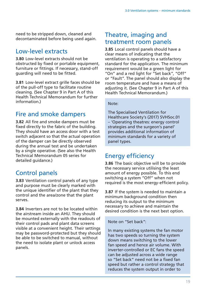need to be stripped down, cleaned and decontaminated before being used again.

## Low-level extracts

**3.80** Low-level extracts should not be obstructed by fixed or portable equipment, furniture or fittings. If necessary, stand-off guarding will need to be fitted.

**3.81** Low-level extract grille faces should be of the pull-off type to facilitate routine cleaning. (See Chapter 9 in Part A of this Health Technical Memorandum for further information.)

## Fire and smoke dampers

**3.82** All fire and smoke dampers must be fixed directly to the fabric of the building. They should have an access door with a test switch adjacent so that the actual operation of the damper can be directly observed during the annual test and be undertaken by a single operative. (See also the Health Technical Memorandum 05 series for detailed guidance.)

## Control panels

**3.83** Ventilation control panels of any type and purpose must be clearly marked with the unique identifier of the plant that they control and the area/zone that the plant serves.

**3.84** Inverters are not to be located within the airstream inside an AHU. They should be mounted externally with the readouts of their control pads and plant data screens visible at a convenient height. Their settings may be password-protected but they should be able to be switched to manual, without the need to isolate plant or unlock access panels.

## Theatre, imaging and treatment room panels

**3.85** Local control panels should have a clear means of indicating that the ventilation is operating to a satisfactory standard for the application. The minimum requirement would be a green light for "On" and a red light for "Set back", "Off" or "Fault". The panel should also display the room temperature and have a means of adjusting it. (See Chapter 9 in Part A of this Health Technical Memorandum.)

#### Note:

The Specialised Ventilation for Healthcare Society's (2017) [SVHSoc.01](https://SVHSoc.01) – 'Operating theatres: energy control strategies and the surgeon's panel' provides additional information of minimum standards for a variety of panel types.

## Energy efficiency

**3.86** The basic objective will be to provide the necessary service utilising the least amount of energy possible. To this end switching a system "Off" when not required is the most energy-efficient policy.

**3.87** If the system is needed to maintain a minimum background condition then reducing its output to the minimum necessary to achieve and maintain the desired condition is the next best option.

Note on "Set back":

In many existing systems the fan motor has two speeds so turning the system down means switching to the lower fan speed and hence air volume. With inverter-controlled or EC fans the speed can be adjusted across a wide range so "Set back" need not be a fixed fan speed but rather a control strategy that reduces the system output in order to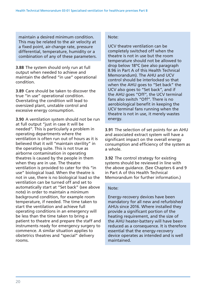maintain a desired minimum condition. This may be related to the air velocity at a fixed point, air-change rate, pressure differential, temperature, humidity or a combination of any of these parameters.

**3.88** The system should only run at full output when needed to achieve and maintain the defined "in use" operational condition.

**3.89** Care should be taken to discover the true "in use" operational condition. Overstating the condition will lead to oversized plant, unstable control and excessive energy consumption.

**3.90** A ventilation system should not be run at full output "just in case it will be needed". This is particularly a problem in operating departments where the ventilation is often run out of hours as it is believed that it will "maintain sterility" in the operating suite. This is not true as airborne contamination in operating theatres is caused by the people in them when they are in use. The theatre ventilation is provided to cater for this "in use" biological load. When the theatre is not in use, there is no biological load so the ventilation can be turned off and set to automatically start at "Set back" (see above note) in order to maintain a minimum background condition, for example room temperature, if needed. The time taken to start the ventilation and achieve full operating conditions in an emergency will be less than the time taken to bring a patient to theatre and prepare the staff and instruments ready for emergency surgery to commence. A similar situation applies to obstetrics theatres and "special" delivery rooms.

#### Note:

UCV theatre ventilation can be completely switched off when the theatre is not in use but the room temperature should not be allowed to drop below 18ºC (see also paragraph 8.96 in Part A of this Health Technical Memorandum). The AHU and UCV control should be interlocked so that when the AHU goes to "Set back" the UCV also goes to "Set back", and if the AHU goes "Off", the UCV terminal fans also switch "Off". There is no aerobiological benefit in keeping the UCV terminal fans running when the theatre is not in use, it merely wastes energy.

**3.91** The selection of set points for an AHU and associated extract system will have a significant impact on the overall energy consumption and efficiency of the system as a whole.

**3.92** The control strategy for existing systems should be reviewed in line with the above guidance. (See Chapters 6 and 9 in Part A of this Health Technical Memorandum for further information.)

#### Note:

Energy-recovery devices have been mandatory for all new and refurbished AHUs since 2016. Where installed they provide a significant portion of the heating requirement, and the size of the AHU heater-battery will have been reduced as a consequence. It is therefore essential that the energy-recovery device operates as intended and is well maintained.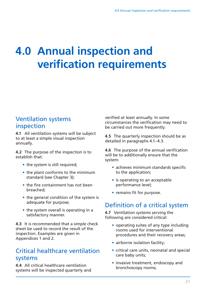# **4.0 Annual inspection and verification requirements**

## Ventilation systems inspection

**4.1** All ventilation systems will be subject to at least a simple visual inspection annually.

**4.2** The purpose of the inspection is to establish that:

- the system is still required:
- the plant conforms to the minimum standard (see Chapter 3);
- the fire containment has not been breached;
- the general condition of the system is adequate for purpose;
- the system overall is operating in a satisfactory manner.

**4.3** It is recommended that a simple check sheet be used to record the result of the inspection. Examples are given in Appendices 1 and 2.

# Critical healthcare ventilation • critical care units, neonatal and special<br>care baby units: systems<br>
systems<br>
systems<br>
sinvasive treatment, endoscopy and<br>
sinvasive treatment, endoscopy and

**4.4** All critical healthcare ventilation **1.4 Exercise ventilation** bronchoscopy rooms; systems will be inspected quarterly and

verified at least annually. In some circumstances the verification may need to be carried out more frequently.

**4.5** The quarterly inspection should be as detailed in paragraphs 4.1–4.3.

**4.6** The purpose of the annual verification will be to additionally ensure that the system:

- achieves minimum standards specific to the application;
- is operating to an acceptable performance level;
- remains fit for purpose.

# Definition of a critical system

**4.7** Ventilation systems serving the following are considered critical:

- operating suites of any type including rooms used for interventional procedures and their recovery areas;
- airborne isolation facility;
- 
-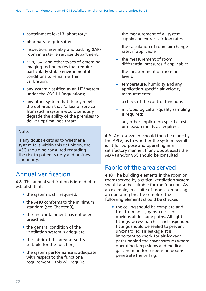- containment level 3 laboratory;
- pharmacy aseptic suite;
- inspection, assembly and packing (IAP) room in a sterile services department;
- MRI, CAT and other types of emerging imaging technologies that require particularly stable environmental conditions to remain within calibration;
- any system classified as an LEV system under the COSHH Regulations;
- any other system that clearly meets the definition that "a loss of service from such a system would seriously degrade the ability of the premises to deliver optimal healthcare".

#### Note:

If any doubt exists as to whether a system falls within this definition, the VSG should be consulted regarding the risk to patient safety and business continuity.

## Annual verification

**4.8** The annual verification is intended to establish that:

- the system is still required;
- the AHU conforms to the minimum standard (see Chapter 3);
- the fire containment has not been breached;
- the general condition of the ventilation system is adequate;
- the fabric of the area served is suitable for the function;
- the system performance is adequate with respect to the functional requirement – this will require:
- the measurement of all system supply and extract airflow rates;
- the calculation of room air-change rates if applicable;
- the measurement of room differential pressures if applicable;
- the measurement of room noise levels;
- temperature, humidity and any application-specific air velocity measurements;
- a check of the control functions;
- microbiological air-quality sampling if required;
- any other application-specific tests or measurements as required.

**4.9** An assessment should then be made by the AP(V) as to whether the system overall is fit for purpose and operating in a satisfactory manner. If any doubt exists the AE(V) and/or VSG should be consulted.

### Fabric of the area served

**4.10** The building elements in the room or rooms served by a critical ventilation system should also be suitable for the function. As an example, in a suite of rooms comprising an operating theatre complex, the following elements should be checked:

• the ceiling should be complete and free from holes, gaps, cracks or obvious air leakage paths. All light fittings, access hatches and suspended fittings should be sealed to prevent uncontrolled air leakage. It is important to check for air-leakage paths behind the cover shrouds where operating-lamp stems and medicalgas and monitor-suspension booms penetrate the ceiling;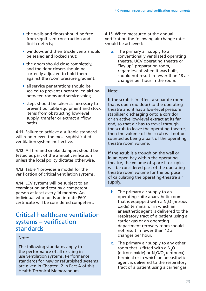- the walls and floors should be free from significant construction and finish defects;
- windows and their trickle vents should be sealed and locked shut;
- the doors should close completely, and the door closers should be correctly adjusted to hold them against the room pressure gradient;
- all service penetrations should be sealed to prevent uncontrolled airflow between rooms and service voids;
- steps should be taken as necessary to prevent portable equipment and stock items from obstructing low-level supply, transfer or extract airflow paths.

**4.11** Failure to achieve a suitable standard will render even the most sophisticated ventilation system ineffective.

**4.12** All fire and smoke dampers should be tested as part of the annual verification unless the local policy dictates otherwise.

**4.13** Table 1 provides a model for the verification of critical ventilation systems.

**4.14** LEV systems will be subject to an examination and test by a competent person at least every 14 months. An individual who holds an in-date P601 certificate will be considered competent.

## Critical healthcare ventilation systems – verification standards

#### Note:

The following standards apply to the performance of all existing inuse ventilation systems. Performance standards for new or refurbished systems are given in Chapter 12 in Part A of this Health Technical Memorandum.

**4.15** When measured at the annual verification the following air change rates should be achieved:

a. The primary air supply to a conventionally ventilated operating theatre, UCV operating theatre or "lay up" preparation room, regardless of when it was built, should not result in fewer than 18 air changes per hour in the room.

#### Note:

If the scrub is in effect a separate room that is open (no door) to the operating theatre and it has a low-level pressure stabiliser discharging onto a corridor or an active low-level extract at its far end, so that air has to travel through the scrub to leave the operating theatre, then the volume of the scrub will not be counted as being a part of the operating theatre room volume.

If the scrub is a trough on the wall or in an open bay within the operating theatre, the volume of space it occupies will be considered part of the operating theatre room volume for the purpose of calculating the operating-theatre air supply.

- b. The primary air supply to an operating suite anaesthetic room that is equipped with a  $N_2$ O (nitrous oxide) terminal or in which an anaesthetic agent is delivered to the respiratory tract of a patient using a carrier gas or an operating department recovery room should not result in fewer than 12 air changes per hour.
- c. The primary air supply to any other room that is fitted with a  $N_2O$ (nitrous oxide) or  $N_2$ O/O<sub>2</sub> (entonox) terminal or in which an aneasthetic agent is delivered to the respiratory tract of a patient using a carrier gas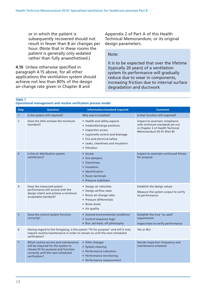or in which the patient is subsequently recovered should not result in fewer than 8 air changes per hour. (Note that in these rooms the patient is generally only sedated rather than fully anaesthetised.)

**4.16** Unless otherwise specified in paragraph 4.15 above, for all other applications the ventilation system should achieve not less than 80% of the design air-change rate given in Chapter 8 and

Appendix 2 of Part A of this Health Technical Memorandum, or its original design parameters.

#### Note:

It is to be expected that over the lifetime (typically 20 years) of a ventilation system its performance will gradually reduce due to wear in components, increasing friction due to internal surface degradation and ductwork

**Table 1** 

|  | <b>Operational management and routine verification process model</b> |  |  |  |  |
|--|----------------------------------------------------------------------|--|--|--|--|
|--|----------------------------------------------------------------------|--|--|--|--|

| <b>Step</b>    | <b>Question</b>                                                                                                                                                                 | <b>Information/standard required</b>                                                                                                                                                                           | <b>Comment</b>                                                                                                                     |
|----------------|---------------------------------------------------------------------------------------------------------------------------------------------------------------------------------|----------------------------------------------------------------------------------------------------------------------------------------------------------------------------------------------------------------|------------------------------------------------------------------------------------------------------------------------------------|
| $\mathbf{1}$   | Is the system still required?                                                                                                                                                   | Why was it installed?                                                                                                                                                                                          | Is that function still required?                                                                                                   |
| $\overline{2}$ | Does the AHU achieve the minimum<br>standard?                                                                                                                                   | • Health and safety aspects<br>• Intake/discharge positions<br>• Inspection access<br>• Legionella control and drainage<br>• Fire and electrical safety<br>• Leaks, cleanliness and insulation<br>• Filtration | Inspect to ascertain compliance<br>with minimum standards set out<br>in Chapter 3 of Health Technical<br>Memorandum 03-01 (Part B) |
| 3              | Is the air distribution system<br>satisfactory?                                                                                                                                 | • Access<br>• Fire dampers<br>• Cleanliness<br>• Insulation<br>· Identification<br>• Room terminals<br>• Pressure stabilisers                                                                                  | Inspect to ascertain continued fitness<br>for purpose                                                                              |
| 4              | Does the measured system<br>performance still accord with the<br>design intent and achieve a minimum<br>acceptable standard?                                                    | • Design air velocities<br>• Design airflow rates<br>• Room air-change rates<br>• Pressure differentials<br>• Noise levels<br>• Air quality                                                                    | Establish the design values<br>Measure the system output to verify<br>its performance                                              |
| 5              | Does the control system function<br>correctly?                                                                                                                                  | • Desired environmental conditions<br>• Control sequence logic<br>• Run; set-back; off philosophy                                                                                                              | Establish the true "as used"<br>requirement<br>Inspect/test to verify performance                                                  |
| 6              | Having regard to the foregoing, is the system "fit for purpose" and will it only<br>require routine maintenance in order to remain so until the next scheduled<br>verification? |                                                                                                                                                                                                                | Yes or No!                                                                                                                         |
| $\overline{7}$ | What routine service and maintenance<br>will be required for the system to<br>remain fit for purpose and function<br>correctly until the next scheduled<br>verification?        | • Filter changes<br>• System cleaning<br>• Performance indication<br>• Performance monitoring<br>• Performance measurement                                                                                     | Decide inspection frequency and<br>maintenance schedule                                                                            |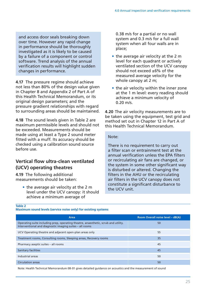and access door seals breaking down over time. However any rapid change in performance should be thoroughly investigated as it is likely to be caused by a failure of a component or control software. Trend analysis of the annual verification results will highlight sudden changes in performance.

**4.17** The pressure regime should achieve not less than 80% of the design value given in Chapter 8 and Appendix 2 of Part A of this Health Technical Memorandum, or its original design parameters; and the pressure gradient relationships with regard to surrounding areas should be maintained.

**4.18** The sound levels given in Table 2 are maximum permissible levels and should not be exceeded. Measurements should be made using at least a Type 2 sound meter fitted with a muff. Its accuracy should be checked using a calibration sound source before use.

#### **Vertical flow ultra-clean ventilated (UCV) operating theatres**

**4.19** The following additional measurements should be taken:

> • the average air velocity at the 2 m level under the UCV canopy: it should achieve a minimum average of

0.38 m/s for a partial or no wall system and 0.3 m/s for a full wall system when all four walls are in place;

- the average air velocity at the 2 m level for each quadrant or actively ventilated section of the UCV canopy should not exceed ±6% of the measured average velocity for the whole canopy at 2 m;
- the air velocity within the inner zone at the 1 m level: every reading should achieve a minimum velocity of  $0.20 \text{ m/s}$ .

**4.20** The air velocity measurements are to be taken using the equipment, test grid and method set out in Chapter 12 in Part A of this Health Technical Memorandum.

#### Note:

There is no requirement to carry out a filter scan or entrainment test at the annual verification unless the EPA filters or recirculating air fans are changed, or the system in some other significant way is disturbed or altered. Changing the filters in the AHU or the recirculating air filters in the UCV canopy does not constitute a significant disturbance to the UCV unit.

#### **Table 2**

**Maximum sound levels (service noise only) for existing systems** 

| Area                                                                                                                                           | Room Overall noise level - dB(A) |
|------------------------------------------------------------------------------------------------------------------------------------------------|----------------------------------|
| Operating suite including prep, operating theatre, anaesthetic, scrub and utility.<br>Interventional and diagnostic imaging suites - all rooms | 50                               |
| UCV Operating theatre and adjacent open-plan areas only                                                                                        | 55                               |
| Treatment rooms, Consulting rooms, Sleeping areas, Recovery rooms                                                                              | 35                               |
| Pharmacy aseptic suites - all rooms                                                                                                            | 45                               |
| <b>Sanitary facilities</b>                                                                                                                     | 45                               |
| Industrial areas                                                                                                                               | 50                               |
| <b>Circulation areas</b>                                                                                                                       | 50                               |

Note: Health Technical Memorandum 08-01 gives detailed guidance on acoustics and the measurement of sound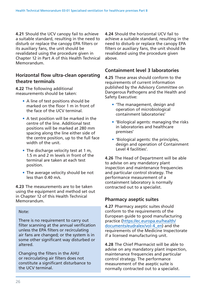**4.21** Should the UCV canopy fail to achieve a suitable standard, resulting in the need to disturb or replace the canopy EPA filters or its auxiliary fans, the unit should be revalidated using the procedure given in Chapter 12 in Part A of this Health Technical Memorandum.

#### **Horizontal flow ultra-clean operating theatre terminals**

**4.22** The following additional measurements should be taken:

- A line of test positions should be marked on the floor 1 m in front of the face of the UCV terminal.
- A test position will be marked in the centre of the line. Additional test positions will be marked at 280 mm spacing along the line either side of the centre position, up to the full face width of the unit.
- 1.5 m and 2 m levels in front of the • The discharge velocity test at 1 m, terminal are taken at each test position.
- The average velocity should be not less than 0.40 m/s.

**4.23** The measurements are to be taken using the equipment and method set out in Chapter 12 of this Health Technical Memorandum.

#### Note:

There is no requirement to carry out filter scanning at the annual verification unless the EPA filters or recirculating air fans are changed; or the system is in some other significant way disturbed or altered.

Changing the filters in the AHU or recirculating air filters does not constitute a significant disturbance to the UCV terminal.

**4.24** Should the horizontal UCV fail to achieve a suitable standard, resulting in the need to disturb or replace the canopy EPA filters or auxiliary fans, the unit should be revalidated using the procedure given above.

#### **Containment level 3 laboratories**

**4.25** These areas should conform to the requirements of current information published by the Advisory Committee on Dangerous Pathogens and the Health and Safety Executive:

- 'The management, design and operation of microbiological containment laboratories'
- 'Biological agents: managing the risks in laboratories and healthcare premises'
- 'Biological agents: the principles, design and operation of Containment Level 4 facilities'.

**4.26** The Head of Department will be able to advise on any mandatory plant inspection and maintenance frequencies and particular control strategy. The performance measurement of a containment laboratory is normally contracted out to a specialist.

#### **Pharmacy aseptic suites**

**4.27** Pharmacy aseptic suites should conform to the requirements of the European guide to good manufacturing practice (<https://ec.europa.eu/health>/ documents/eudralex/vol-4\_en) and the requirements of the Medicine Inspectorate if a licensed manufacturing unit.

**4.28** The Chief Pharmacist will be able to advise on any mandatory plant inspection, maintenance frequencies and particular control strategy. The performance measurement of the aseptic suite is normally contracted out to a specialist.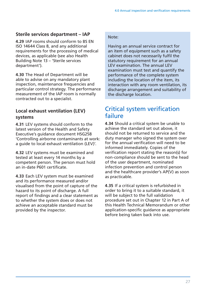#### **Sterile services department – IAP**

**4.29** IAP rooms should conform to BS EN ISO 14644 Class 8, and any additional requirements for the processing of medical devices, as applicable (see also Health Building Note 13 – 'Sterile services department').

**4.30** The Head of Department will be able to advise on any mandatory plant inspection, maintenance frequencies and particular control strategy. The performance measurement of the IAP room is normally contracted out to a specialist.

#### **Local exhaust ventilation (LEV) systems**

**4.31** LEV systems should conform to the latest version of the Health and Safety Executive's guidance document HSG258 'Controlling airborne contaminants at work: a guide to local exhaust ventilation (LEV)'.

**4.32** LEV systems must be examined and tested at least every 14 months by a competent person. The person must hold an in-date P601 certificate.

**4.33** Each LEV system must be examined and its performance measured and/or visualised from the point of capture of the hazard to its point of discharge. A full report of findings and a clear statement as to whether the system does or does not achieve an acceptable standard must be provided by the inspector.

#### Note:

Having an annual service contract for an item of equipment such as a safety cabinet does not necessarily fulfil the statutory requirement for an annual LEV examination. The annual LEV examination must test and quantify the performance of the complete system including the location of the item, its interaction with any room ventilation, its discharge arrangement and suitability of the discharge location.

## Critical system verification failure

**4.34** Should a critical system be unable to achieve the standard set out above, it should not be returned to service and the duty manager who signed the system over for the annual verification will need to be informed immediately. Copies of the verification report stating the reason(s) for non-compliance should be sent to the head of the user department, nominated infection prevention and control person and the healthcare provider's AP(V) as soon as practicable.

**4.35** If a critical system is refurbished in order to bring it to a suitable standard, it will be subject to the full validation procedure set out in Chapter 12 in Part A of this Health Technical Memorandum or other application-specific guidance as appropriate before being taken back into use.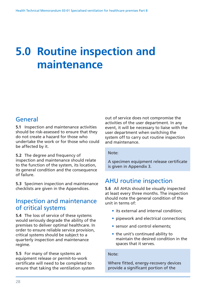# **5.0 Routine inspection and maintenance**

## General

**5.1** Inspection and maintenance activities should be risk-assessed to ensure that they do not create a hazard for those who undertake the work or for those who could be affected by it.

**5.2** The degree and frequency of inspection and maintenance should relate to the function of the system, its location, its general condition and the consequence of failure.

**5.3** Specimen inspection and maintenance checklists are given in the Appendices.

### Inspection and maintenance of critical systems

**5.4** The loss of service of these systems would seriously degrade the ability of the premises to deliver optimal healthcare. In order to ensure reliable service provision, critical systems should be subject to a quarterly inspection and maintenance regime.

**5.5** For many of these systems an equipment release or permit-to-work certificate will need to be completed to ensure that taking the ventilation system out of service does not compromise the activities of the user department. In any event, it will be necessary to liaise with the user department when switching the system off to carry out routine inspection and maintenance.

Note:

A specimen equipment release certificate is given in Appendix 3.

## AHU routine inspection

**5.6** All AHUs should be visually inspected at least every three months. The inspection should note the general condition of the unit in terms of:

- its external and internal condition;
- pipework and electrical connections;
- sensor and control elements;
- the unit's continued ability to maintain the desired condition in the spaces that it serves.

#### Note:

Where fitted, energy-recovery devices provide a significant portion of the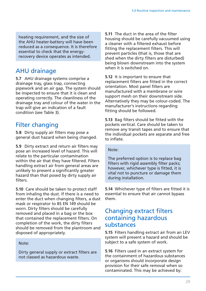heating requirement, and the size of the AHU heater-battery will have been reduced as a consequence. It is therefore essential to check that the energyrecovery device operates as intended.

## AHU drainage

**5.7** AHU drainage systems comprise a drainage tray, glass trap, connecting pipework and an air gap. The system should be inspected to ensure that it is clean and operating correctly. The cleanliness of the drainage tray and colour of the water in the trap will give an indication of a fault condition (see Table 3).

## Filter changing

**5.8** Dirty supply air filters may pose a general dust hazard when being changed.

**5.9** Dirty extract and return air filters may pose an increased level of hazard. This will relate to the particular contamination within the air that they have filtered. Filters handling extract air from general areas are unlikely to present a significantly greater hazard than that posed by dirty supply air filters.

**5.10** Care should be taken to protect staff from inhaling the dust. If there is a need to enter the duct when changing filters, a dust mask or respirator to BS EN 149 should be worn. Dirty filters should be carefully removed and placed in a bag or the box that contained the replacement filters. On completion of the work, the dirty filters should be removed from the plantroom and disposed of appropriately.

Note:

Dirty general supply or extract filters are not classed as hazardous waste.

**5.11** The duct in the area of the filter housing should be carefully vacuumed using a cleaner with a filtered exhaust before fitting the replacement filters. This will prevent particles (that is, those that are shed when the dirty filters are disturbed) being blown downstream into the system when it is switched on.

**5.12** It is important to ensure that replacement filters are fitted in the correct orientation. Most panel filters are manufactured with a membrane or wire support mesh on their downstream side. Alternatively they may be colour-coded. The manufacturer's instructions regarding fitting should be followed.

**5.13** Bag filters should be fitted with the pockets vertical. Care should be taken to remove any transit tapes and to ensure that the individual pockets are separate and free to inflate.

#### Note:

The preferred option is to replace bag filters with rigid assembly filter packs; however, whichever type is fitted, it is vital not to puncture or damage them during installation.

**5.14** Whichever type of filters are fitted it is essential to ensure that air cannot bypass them.

## Changing extract filters containing hazardous substances

**5.15** Filters handling extract air from an LEV system will present a hazard and should be subject to a safe system of work.

**5.16** Filters used in an extract system for the containment of hazardous substances or organisms should incorporate design provision for their safe removal when so contaminated. This may be achieved by: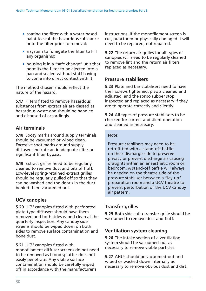- coating the filter with a water-based paint to seal the hazardous substance onto the filter prior to removal;
- a system to fumigate the filter to kill any organisms;
- housing it in a "safe change" unit that permits the filter to be ejected into a bag and sealed without staff having to come into direct contact with it.

The method chosen should reflect the nature of the hazard.

**5.17** Filters fitted to remove hazardous substances from extract air are classed as hazardous waste and should be handled and disposed of accordingly.

#### **Air terminals**

**5.18** Sooty marks around supply terminals should be vacuumed or wiped clean. Excessive soot marks around supply diffusers indicate an inadequate filter or significant filter bypass.

**5.19** Extract grilles need to be regularly cleaned to remove dust and bits of fluff. Low-level spring-retained extract grilles should be regularly pulled off so that they can be washed and the debris in the duct behind them vacuumed out.

#### **UCV canopies**

**5.20** UCV canopies fitted with perforated plate-type diffusers should have them removed and both sides wiped clean at the quarterly inspection. Any canopy side screens should be wiped down on both sides to remove surface contamination and bone dust.

#### **5.21** UCV canopies fitted with

monofilament diffuser screens do not need to be removed as blood splatter does not easily penetrate. Any visible surface contamination should be carefully wiped off in accordance with the manufacturer's

instructions. If the monofilament screen is cut, punctured or physically damaged it will need to be replaced, not repaired.

**5.22** The return air grilles for all types of canopies will need to be regularly cleaned to remove lint and the return air filters replaced as necessary.

#### **Pressure stabilisers**

**5.23** Plate and bar stabilisers need to have their screws tightened, pivots cleaned and adjusted, and the sorbo rubber stop inspected and replaced as necessary if they are to operate correctly and silently.

**5.24** All types of pressure stabilisers to be checked for correct and silent operation and cleaned as necessary.

#### Note:

Pressure stabilisers may need to be retrofitted with a stand-off baffle on their discharge side to preserve privacy or prevent discharge air causing draughts within an anaesthetic room or bedroom. A stand-off baffle will always be needed on the theatre side of the pressure stabiliser between a "lay-up" preparation room and a UCV theatre to prevent perturbation of the UCV canopy air pattern.

#### **Transfer grilles**

**5.25** Both sides of a transfer grille should be vacuumed to remove dust and fluff.

#### **Ventilation system cleaning**

**5.26** The intake section of a ventilation system should be vacuumed-out as necessary to remove visible particles.

**5.27** AHUs should be vacuumed-out and wiped or washed down internally as necessary to remove obvious dust and dirt.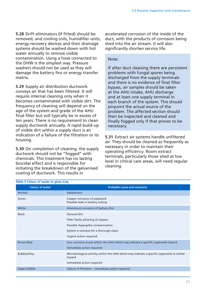**5.28** Drift eliminators (if fitted) should be removed, and cooling coils, humidifier units, energy-recovery devices and their drainage systems should be washed down with hot water annually to remove visible contamination. Using a hose connected to the DHW is the simplest way. Pressure washers should not be used as they will damage the battery fins or energy transfer matrix.

**5.29** Supply air distribution ductwork conveys air that has been filtered. It will require internal cleaning only when it becomes contaminated with visible dirt. The frequency of cleaning will depend on the age of the system and grade of the AHU final filter but will typically be in excess of ten years. There is no requirement to clean supply ductwork annually. A rapid build-up of visible dirt within a supply duct is an indication of a failure of the filtration or its housing.

**5.30** On completion of cleaning, the supply ductwork should not be "fogged" with chemicals. This treatment has no lasting biocidal effect and is responsible for initiating the breakdown of the galvanised coating of ductwork. This results in

accelerated corrosion of the inside of the duct, with the products of corrosion being shed into the air stream. It will also significantly shorten service life.

#### Note:

If after duct cleaning there are persistent problems with fungal spores being discharged from the supply terminals and there is no evidence of final filter bypass, air samples should be taken at the AHU intake, AHU discharge and at least one supply terminal in each branch of the system. This should pinpoint the actual source of the problem. The affected section should then be inspected and cleaned and finally fogged only if that proves to be necessary.

**5.31** Extract air systems handle unfiltered air. They should be cleaned as frequently as necessary in order to maintain their operating efficiency. Room extract terminals, particularly those sited at low level in critical care areas, will need regular cleaning.

| <b>Colour of water</b>             | <b>Probable cause and comment</b>                                                                     |  |  |  |  |
|------------------------------------|-------------------------------------------------------------------------------------------------------|--|--|--|--|
| <b>Normal</b>                      | Satisfactory                                                                                          |  |  |  |  |
| Green                              | Copper corrosion of pipework<br>Possible leak in battery tubing                                       |  |  |  |  |
| White                              | Aluminium corrosion of battery fins                                                                   |  |  |  |  |
| <b>Black</b>                       | General dirt                                                                                          |  |  |  |  |
|                                    | Filter faulty allowing air bypass                                                                     |  |  |  |  |
| Possible Aspergillus contamination |                                                                                                       |  |  |  |  |
|                                    | System is overdue for a thorough clean                                                                |  |  |  |  |
|                                    | Urgent action required                                                                                |  |  |  |  |
| Brown/Red                          | Iron corrosion (rust) within the AHU which may indicate a specific Legionella hazard                  |  |  |  |  |
|                                    | Immediate action required                                                                             |  |  |  |  |
| Bubbly/slimy                       | Microbiological activity within the AHU which may indicate a specific Legionella or similar<br>hazard |  |  |  |  |
|                                    | Immediate action required                                                                             |  |  |  |  |
| Dead wildlife                      | Failure of filtration - immediate action required                                                     |  |  |  |  |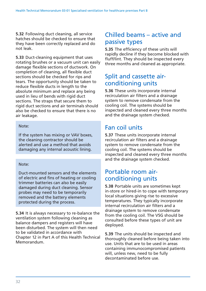**5.32** Following duct cleaning, all service hatches should be checked to ensure that they have been correctly replaced and do not leak.

**5.33** Duct-cleaning equipment that uses rotating brushes or a vacuum unit can easily damage flexible sections of ductwork. On completion of cleaning, all flexible duct sections should be checked for rips and tears. The opportunity should be taken to reduce flexible ducts in length to the absolute minimum and replace any being used in lieu of bends with rigid duct sections. The straps that secure them to rigid duct sections and air terminals should also be checked to ensure that there is no air leakage.

#### Note:

If the system has mixing or VAV boxes, the cleaning contractor should be alerted and use a method that avoids damaging any internal acoustic lining.

#### Note:

Duct-mounted sensors and the elements of electric and fins of heating or cooling trimmer batteries can also be easily damaged during duct cleaning. Sensor probes may need to be temporarily removed and the battery elements protected during the process.

**5.34** It is always necessary to re-balance the ventilation system following cleaning as balance dampers and registers will have been disturbed. The system will then need to be validated in accordance with Chapter 12 in Part A of this Health Technical Memorandum.

## Chilled beams – active and passive types

**5.35** The efficiency of these units will rapidly decline if they become blocked with fluff/lint. They should be inspected every three months and cleaned as appropriate.

## Split and cassette airconditioning units

**5.36** These units incorporate internal recirculation air filters and a drainage system to remove condensate from the cooling coil. The systems should be inspected and cleaned every three months and the drainage system checked.

## Fan coil units

**5.37** These units incorporate internal recirculation air filters and a drainage system to remove condensate from the cooling coil. The systems should be inspected and cleaned every three months and the drainage system checked.

## Portable room airconditioning units

**5.38** Portable units are sometimes kept in-store or hired-in to cope with temporary local situations giving rise to excessive temperatures. They typically incorporate internal recirculation air filters and a drainage system to remove condensate from the cooling coil. The VSG should be consulted before these types of unit are deployed.

**5.39** The units should be inspected and thoroughly cleaned before being taken into use. Units that are to be used in areas containing immunocompromised patients will, unless new, need to be fully decontaminated before use.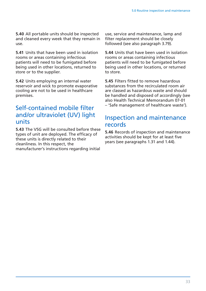**5.40** All portable units should be inspected and cleaned every week that they remain in use.

**5.41** Units that have been used in isolation rooms or areas containing infectious patients will need to be fumigated before being used in other locations, returned to store or to the supplier.

**5.42** Units employing an internal water reservoir and wick to promote evaporative cooling are not to be used in healthcare premises.

## Self-contained mobile filter and/or ultraviolet (UV) light units

**5.43** The VSG will be consulted before these types of unit are deployed. The efficacy of these units is directly related to their cleanliness. In this respect, the manufacturer's instructions regarding initial

use, service and maintenance, lamp and filter replacement should be closely followed (see also paragraph 3.79).

**5.44** Units that have been used in isolation rooms or areas containing infectious patients will need to be fumigated before being used in other locations, or returned to store.

**5.45** Filters fitted to remove hazardous substances from the recirculated room air are classed as hazardous waste and should be handled and disposed of accordingly (see also Health Technical Memorandum 07-01 – 'Safe management of healthcare waste').

## Inspection and maintenance records

**5.46** Records of inspection and maintenance activities should be kept for at least five years (see paragraphs 1.31 and 1.44).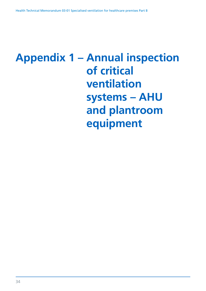# **Appendix 1 – Annual inspection of critical ventilation systems – AHU and plantroom equipment**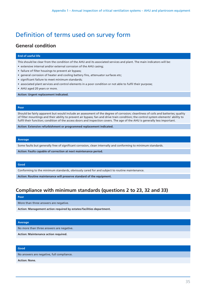# Definition of terms used on survey form

#### **General condition**

#### **End of useful life**

This should be clear from the condition of the AHU and its associated services and plant. The main indicators will be:

- extensive internal and/or external corrosion of the AHU casing;
- failure of filter housings to prevent air bypass;
- general corrosion of heater and cooling battery fins, attenuator surfaces etc;
- significant failure to meet minimum standards;
- associated plant services and control elements in a poor condition or not able to fulfil their purpose;
- AHU aged 20 years or more.

**Action: Urgent replacement indicated.** 

#### **Poor**

Should be fairly apparent but would include an assessment of the degree of corrosion; cleanliness of coils and batteries; quality of filter mountings and their ability to prevent air bypass; fan and drive train condition; the control system elements' ability to fulfil their function; condition of the access doors and inspection covers. The age of the AHU is generally less important.

**Action: Extensive refurbishment or programmed replacement indicated.** 

#### **Average**

Some faults but generally free of significant corrosion, clean internally and conforming to minimum standards.

**Action: Faults capable of correction at next maintenance period.** 

#### **Good**

Conforming to the minimum standards, obviously cared for and subject to routine maintenance.

**Action: Routine maintenance will preserve standard of the equipment.** 

#### **Compliance with minimum standards (questions 2 to 23, 32 and 33)**

#### **Poor**

More than three answers are negative.

**Action: Management action required by estates/facilities department.** 

#### **Average**

No more than three answers are negative.

**Action: Maintenance action required.** 

#### **Good**

No answers are negative, full compliance.

**Action: None.**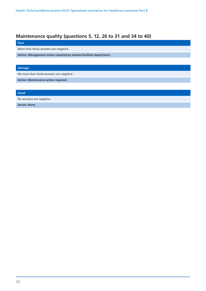### **Maintenance quality (questions 5, 12, 26 to 31 and 34 to 40)**

**Poor** 

More than three answers are negative.

**Action: Management action required by estates/facilities department.** 

#### **Average**

No more than three answers are negative.

**Action: Maintenance action required.** 

**Good** 

No answers are negative.

**Action: None.**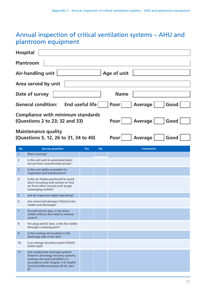## Annual inspection of critical ventilation systems – AHU and plantroom equipment

| <b>Hospital</b>                                                                                              |                                                                                                                                                                                                       |            |           |             |                 |      |
|--------------------------------------------------------------------------------------------------------------|-------------------------------------------------------------------------------------------------------------------------------------------------------------------------------------------------------|------------|-----------|-------------|-----------------|------|
|                                                                                                              | <b>Plantroom</b>                                                                                                                                                                                      |            |           |             |                 |      |
|                                                                                                              | Air-handling unit                                                                                                                                                                                     |            |           | Age of unit |                 |      |
|                                                                                                              | Area served by unit                                                                                                                                                                                   |            |           |             |                 |      |
|                                                                                                              | Date of survey                                                                                                                                                                                        |            |           | <b>Name</b> |                 |      |
|                                                                                                              | <b>General condition:</b><br>End useful life                                                                                                                                                          |            |           | Poor        | <b>Average</b>  | Good |
| <b>Compliance with minimum standards</b><br><b>Average</b><br>Good<br>(Questions 2 to 23; 32 and 33)<br>Poor |                                                                                                                                                                                                       |            |           |             |                 |      |
|                                                                                                              | <b>Maintenance quality</b><br>(Questions 5, 12, 26 to 31, 34 to 40)                                                                                                                                   |            |           | Poor        | <b>Average</b>  | Good |
| <b>No</b>                                                                                                    | <b>Survey question</b>                                                                                                                                                                                | <b>Yes</b> | <b>No</b> |             | <b>Comments</b> |      |
| $\mathbf{1}$                                                                                                 | Plant running?                                                                                                                                                                                        |            |           |             |                 |      |
| 2                                                                                                            | Is the unit and its associated plant<br>secure from unauthorised access?                                                                                                                              |            |           |             |                 |      |
| 3                                                                                                            | Is the unit safely accessible for<br>inspection and maintenance?                                                                                                                                      |            |           |             |                 |      |
| 4                                                                                                            | Is the air intake positioned to avoid<br>short-circuiting with extract or foul<br>air from other sources such as gas<br>scavenging outlets?                                                           |            |           |             |                 |      |
| 5                                                                                                            | Are all inspection lights operating?                                                                                                                                                                  |            |           |             |                 |      |
| 6                                                                                                            | Are motorised dampers fitted to the<br>intake and discharge?                                                                                                                                          |            |           |             |                 |      |
| $\overline{7}$                                                                                               | For belt driven fans, is the drive<br>visible without the need to remove<br>covers?                                                                                                                   |            |           |             |                 |      |
| 8                                                                                                            | For plug and EC fans, is the fan visible<br>through a viewing port?                                                                                                                                   |            |           |             |                 |      |
| 9                                                                                                            | Is the cooling coil located on the<br>discharge side of the fan?                                                                                                                                      |            |           |             |                 |      |
| 10                                                                                                           | Is an energy-recovery system fitted?<br>(state type)                                                                                                                                                  |            |           |             |                 |      |
| 11                                                                                                           | Are condensate drainage systems<br>fitted to all energy recovery systems,<br>cooling coils and humidifiers in<br>accordance with Chapter 3 of Health<br>Technical Memorandum 03-01, Part<br><b>B?</b> |            |           |             |                 |      |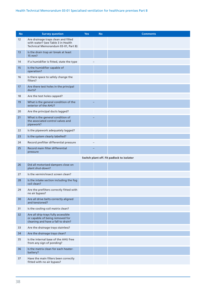| <b>No</b> | <b>Survey question</b>                                                                                           | <b>Yes</b> | <b>No</b> | <b>Comments</b>                           |
|-----------|------------------------------------------------------------------------------------------------------------------|------------|-----------|-------------------------------------------|
| 12        | Are drainage traps clean and filled<br>with water? (see Table 3 in Health<br>Technical Memorandum 03-01, Part B) |            |           |                                           |
| 13        | Is the drain trap air break at least<br>15 mm?                                                                   |            |           |                                           |
| 14        | If a humidifier is fitted, state the type                                                                        |            |           |                                           |
| 15        | Is the humidifier capable of<br>operation?                                                                       |            |           |                                           |
| 16        | Is there space to safely change the<br>filters?                                                                  |            |           |                                           |
| 17        | Are there test holes in the principal<br>ducts?                                                                  |            |           |                                           |
| 18        | Are the test holes capped?                                                                                       |            |           |                                           |
| 19        | What is the general condition of the<br>exterior of the AHU?                                                     |            |           |                                           |
| 20        | Are the principal ducts lagged?                                                                                  |            |           |                                           |
| 21        | What is the general condition of<br>the associated control valves and<br>pipework?                               |            |           |                                           |
| 22        | Is the pipework adequately lagged?                                                                               |            |           |                                           |
| 23        | Is the system clearly labelled?                                                                                  |            |           |                                           |
| 24        | Record prefilter differential pressure                                                                           |            |           |                                           |
| 25        | Record main filter differential<br>pressure                                                                      |            |           |                                           |
|           |                                                                                                                  |            |           | Switch plant off. Fit padlock to isolator |
| 26        | Did all motorised dampers close on<br>plant shut-down?                                                           |            |           |                                           |
| 27        | Is the vermin/insect screen clean?                                                                               |            |           |                                           |
| 28        | Is the intake section including the fog<br>coil clean?                                                           |            |           |                                           |
| 29        | Are the prefilters correctly fitted with<br>no air bypass?                                                       |            |           |                                           |
| 30        | Are all drive belts correctly aligned<br>and tensioned?                                                          |            |           |                                           |
| 31        | Is the cooling-coil matrix clean?                                                                                |            |           |                                           |
| 32        | Are all drip-trays fully accessible<br>or capable of being removed for<br>cleaning and have a fall to drain?     |            |           |                                           |
| 33        | Are the drainage trays stainless?                                                                                |            |           |                                           |
| 34        | Are the drainage trays clean?                                                                                    |            |           |                                           |
| 35        | Is the internal base of the AHU free<br>from any sign of ponding?                                                |            |           |                                           |
| 36        | Is the matrix clean for each heater-<br>battery?                                                                 |            |           |                                           |
| 37        | Have the main filters been correctly<br>fitted with no air bypass?                                               |            |           |                                           |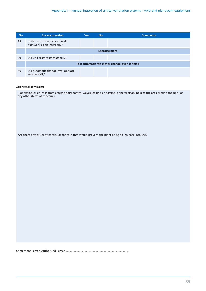| <b>No</b> | <b>Survey question</b>                                       | <b>Yes</b> | <b>No</b> | <b>Comments</b>                                 |
|-----------|--------------------------------------------------------------|------------|-----------|-------------------------------------------------|
| 38        | Is AHU and its associated main<br>ductwork clean internally? |            |           |                                                 |
|           |                                                              |            |           | <b>Energise plant</b>                           |
| 39        | Did unit restart satisfactorily?                             |            |           |                                                 |
|           |                                                              |            |           | Test automatic fan-motor change-over, if fitted |
| 40        | Did automatic change-over operate<br>satisfactorily?         |            |           |                                                 |

#### **Additional comments**

(For example: air leaks from access doors; control valves leaking or passing; general cleanliness of the area around the unit; or any other items of concern.)

Are there any issues of particular concern that would prevent the plant being taken back into use?

Competent Person/Authorised Person ..............................................................................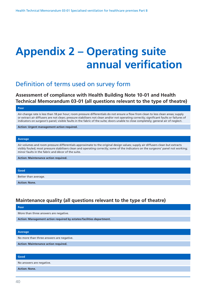# **Appendix 2 – Operating suite annual verification**

## Definition of terms used on survey form

**Assessment of compliance with Health Building Note 10-01 and Health Technical Memorandum 03-01 (all questions relevant to the type of theatre)** 

#### **Poor**

Air-change rate is less than 18 per hour; room pressure differentials do not ensure a flow from clean to less clean areas; supply or extract air diffusers are not clean; pressure stabilisers not clean and/or not operating correctly; significant faults or failures of indicators on surgeon's panel; visible faults in the fabric of the suite; doors unable to close completely; general air of neglect.

**Action: Urgent management action required.** 

#### **Average**

Air volumes and room pressure differentials approximate to the original design values; supply air diffusers clean but extracts visibly fouled; most pressure stabilisers clean and operating correctly; some of the indicators on the surgeons' panel not working; minor faults in the fabric and décor of the suite.

**Action: Maintenance action required.** 

#### **Good**

Better than average.

**Action: None.** 

#### **Maintenance quality (all questions relevant to the type of theatre)**

#### **Poor**

More than three answers are negative.

**Action: Management action required by estates/facilities department.** 

#### **Average**

No more than three answers are negative.

**Action: Maintenance action required.** 

#### **Good**

No answers are negative.

**Action: None.**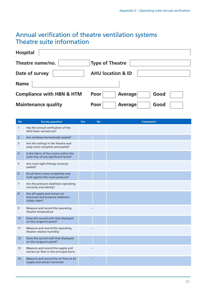## Annual verification of theatre ventilation systems Theatre suite information

| <b>Hospital</b>                      |                                |  |  |  |  |
|--------------------------------------|--------------------------------|--|--|--|--|
| Theatre name/no.                     | <b>Type of Theatre</b>         |  |  |  |  |
| Date of survey                       | <b>AHU location &amp; ID</b>   |  |  |  |  |
| <b>Name</b>                          |                                |  |  |  |  |
| <b>Compliance with HBN &amp; HTM</b> | Good<br>Poor<br><b>Average</b> |  |  |  |  |
| <b>Maintenance quality</b>           | Good<br>Poor<br><b>Average</b> |  |  |  |  |

| <b>No</b>      | <b>Survey question</b>                                                                 | <b>Yes</b> | <b>No</b> | <b>Comments</b> |
|----------------|----------------------------------------------------------------------------------------|------------|-----------|-----------------|
| $\mathbf{1}$   | Has the annual verification of the<br>AHU been carried out?                            |            |           |                 |
| $\overline{2}$ | Are windows hermetically sealed?                                                       |            |           |                 |
| 3              | Are the ceilings in the theatre and<br>prep room complete and sealed?                  |            |           |                 |
| 4              | Is the fabric of the rooms within the<br>suite free of any significant faults?         |            |           |                 |
| 5              | Are room light fittings correctly<br>sealed?                                           |            |           |                 |
| 6              | Do all doors close completely and<br>hold against the room pressure?                   |            |           |                 |
| $\overline{7}$ | Are the pressure stabilisers operating<br>correctly and silently?                      |            |           |                 |
| 8              | Are all supply and extract air<br>terminals and pressure stabilisers<br>visibly clean? |            |           |                 |
| 9              | Measure and record the operating<br>theatre temperature                                |            |           |                 |
| 10             | Does this accord with that displayed<br>on the surgeon's panel?                        |            |           |                 |
| 11             | Measure and record the operating<br>theatre relative humidity                          |            |           |                 |
| 12             | Does this accord with that displayed<br>on the surgeon's panel?                        |            |           |                 |
| 13             | Measure and record the supply and<br>extract air flow in the principal ducts           |            |           |                 |
| 14             | Measure and record the air flow at all<br>supply and extract terminals                 |            |           |                 |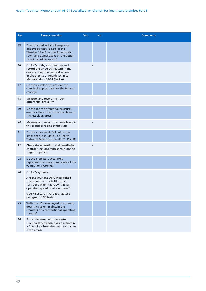| <b>No</b> | <b>Survey question</b>                                                                                                                                                        | <b>Yes</b> | <b>No</b> | <b>Comments</b> |
|-----------|-------------------------------------------------------------------------------------------------------------------------------------------------------------------------------|------------|-----------|-----------------|
| 15        | Does the derived air-change rate<br>achieve at least 18 ac/h in the<br>Theatre, 12 ac/h in the Anaesthetic<br>room and at least 80% of the design<br>flow in all other rooms? |            |           |                 |
| 16        | For UCV units, also measure and<br>record the air velocities within the<br>canopy using the method set out<br>in Chapter 12 of Health Technical<br>Memorandum 03-01 (Part A)  |            |           |                 |
| 17        | Do the air velocities achieve the<br>standard appropriate for the type of<br>canopy?                                                                                          |            |           |                 |
| 18        | Measure and record the room<br>differential pressures                                                                                                                         |            |           |                 |
| 19        | Do the room differential pressures<br>ensure a flow of air from the clean to<br>the less clean areas?                                                                         |            |           |                 |
| 20        | Measure and record the noise levels in<br>the principal rooms of the suite                                                                                                    |            |           |                 |
| 21        | Do the noise levels fall below the<br>limits set out in Table 2 of Health<br>Technical Memorandum 03-01, Part B?                                                              |            |           |                 |
| 22        | Check the operation of all ventilation<br>control functions represented on the<br>surgeon's panel.                                                                            |            |           |                 |
| 23        | Do the indicators accurately<br>represent the operational state of the<br>ventilation system(s)?                                                                              |            |           |                 |
| 24        | For UCV systems:                                                                                                                                                              |            |           |                 |
|           | Are the UCV and AHU interlocked<br>to ensure that the AHU runs at<br>full speed when the UCV is at full<br>operating speed or at low speed?                                   |            |           |                 |
|           | (See HTM 03-01; Part B; Chapter 3;<br>paragraph 3.90 Note.)                                                                                                                   |            |           |                 |
| 25        | With the UCV running at low speed,<br>does the system maintain the<br>standard of a conventional operating<br>theatre?                                                        |            |           |                 |
| 26        | For all theatres: with the system<br>running at set-back, does it maintain<br>a flow of air from the clean to the less<br>clean areas?                                        |            |           |                 |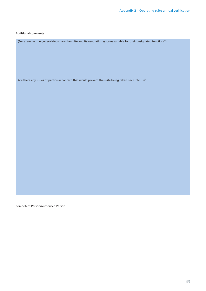#### **Additional comments**

(For example: the general décor; are the suite and its ventilation systems suitable for their designated functions?)

Are there any issues of particular concern that would prevent the suite being taken back into use?

Competent Person/Authorised Person ......................................................................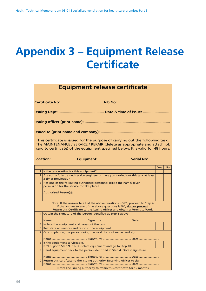# **Appendix 3 – Equipment Release Certificate**

## **Equipment release certificate**

| <b>Certificate No:</b>                                                                                                                                                                                                                                                              |                                                                                                                                                      |            |           |  |  |  |  |
|-------------------------------------------------------------------------------------------------------------------------------------------------------------------------------------------------------------------------------------------------------------------------------------|------------------------------------------------------------------------------------------------------------------------------------------------------|------------|-----------|--|--|--|--|
|                                                                                                                                                                                                                                                                                     |                                                                                                                                                      |            |           |  |  |  |  |
|                                                                                                                                                                                                                                                                                     |                                                                                                                                                      |            |           |  |  |  |  |
|                                                                                                                                                                                                                                                                                     |                                                                                                                                                      |            |           |  |  |  |  |
| This certificate is issued for the purpose of carrying out the following task.<br>The MAINTENANCE / SERVICE / REPAIR (delete as appropriate and attach job<br>card to certificate) of the equipment specified below. It is valid for 48 hours.<br>Location:  Equipment:  Serial No: |                                                                                                                                                      |            |           |  |  |  |  |
|                                                                                                                                                                                                                                                                                     |                                                                                                                                                      | <b>Yes</b> | <b>No</b> |  |  |  |  |
|                                                                                                                                                                                                                                                                                     | 1 Is the task routine for this equipment?                                                                                                            |            |           |  |  |  |  |
|                                                                                                                                                                                                                                                                                     | $2$ Are you a fully trained service engineer or have you carried out this task at least<br>3 times previously?                                       |            |           |  |  |  |  |
|                                                                                                                                                                                                                                                                                     | 3 Has one of the following authorised personnel (circle the name) given<br>permission for the service to take place?<br><b>Authorised Person(s):</b> |            |           |  |  |  |  |
| Note: If the answer to all of the above questions is YES, proceed to Step 4.<br>If the answer to any of the above questions is NO, do not proceed.<br>Return this Certificate to the issuing officer and obtain a Permit to Work.                                                   |                                                                                                                                                      |            |           |  |  |  |  |
| 4                                                                                                                                                                                                                                                                                   | Obtain the signature of the person identified at Step 3 above.                                                                                       |            |           |  |  |  |  |
|                                                                                                                                                                                                                                                                                     | 5   Isolate the equipment and carry out the task.                                                                                                    |            |           |  |  |  |  |
|                                                                                                                                                                                                                                                                                     | 6   Reinstate all services and test-run the equipment.                                                                                               |            |           |  |  |  |  |
| $\overline{7}$                                                                                                                                                                                                                                                                      | On completion, the person doing the work to print name, and sign.                                                                                    |            |           |  |  |  |  |
|                                                                                                                                                                                                                                                                                     | 8 Is the equipment serviceable?<br>If YES, go to Step 9. If NO, isolate equipment and go to Step 10.                                                 |            |           |  |  |  |  |
|                                                                                                                                                                                                                                                                                     | $9$ Hand equipment back to the person identified in Step 4. Obtain signature.                                                                        |            |           |  |  |  |  |
| 10 <sup>1</sup>                                                                                                                                                                                                                                                                     | Return this certifcate to the issuing authority. Receiving officer to sign.                                                                          |            |           |  |  |  |  |
| Note: The issuing authority to retain this certificate for 12 months                                                                                                                                                                                                                |                                                                                                                                                      |            |           |  |  |  |  |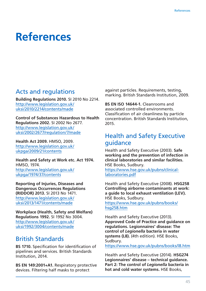# **References**

## Acts and regulations

**Building Regulations 2010.** SI 2010 No 2214. [http://www.legislation.gov.uk/](http://www.legislation.gov.uk/uksi/2010/2214/contents/made) [uksi/2010/2214/contents/made](http://www.legislation.gov.uk/uksi/2010/2214/contents/made) 

**Control of Substances Hazardous to Health Regulations 2002.** SI 2002 No 2677. [http://www.legislation.gov.uk/](http://www.legislation.gov.uk/uksi/2002/2677/regulation/7/made) [uksi/2002/2677/regulation/7/made](http://www.legislation.gov.uk/uksi/2002/2677/regulation/7/made)

**Health Act 2009.** HMSO, 2009. [http://www.legislation.gov.uk/](http://www.legislation.gov.uk/ukpga/2009/21/contents) [ukpga/2009/21/contents](http://www.legislation.gov.uk/ukpga/2009/21/contents)

**Health and Safety at Work etc. Act 1974.**  HMSO, 1974. [http://www.legislation.gov.uk/](http://www.legislation.gov.uk/ukpga/1974/37/contents) [ukpga/1974/37/contents](http://www.legislation.gov.uk/ukpga/1974/37/contents)

**Reporting of Injuries, Diseases and Dangerous Occurrences Regulations (RIDDOR) 2013.** SI 2013 No 1471. [http://www.legislation.gov.uk/](http://www.legislation.gov.uk/uksi/2013/1471/contents/made) [uksi/2013/1471/contents/made](http://www.legislation.gov.uk/uksi/2013/1471/contents/made) 

**Workplace (Health, Safety and Welfare) Regulations 1992.** SI 1992 No 3004. [http://www.legislation.gov.uk/](http://www.legislation.gov.uk/uksi/1992/3004/contents/made) [uksi/1992/3004/contents/made](http://www.legislation.gov.uk/uksi/1992/3004/contents/made) 

## British Standards

**BS 1710.** Specification for identification of pipelines and services. British Standards Institution, 2014.

**BS EN 149:2001+A1.** Respiratory protective devices. Filtering half masks to protect

against particles. Requirements, testing, marking. British Standards Institution, 2009.

**BS EN ISO 14644-1.** Cleanrooms and associated controlled environments. Classification of air cleanliness by particle concentration. British Standards Institution, 2015.

## Health and Safety Executive guidance

Health and Safety Executive (2003). **Safe working and the prevention of infection in clinical laboratories and similar facilities.**  HSE Books, Sudbury. [https://www.hse.gov.uk/pubns/clinical](https://www.hse.gov.uk/pubns/clinical-laboratories.pdf)[laboratories.pdf](https://www.hse.gov.uk/pubns/clinical-laboratories.pdf) 

Health and Safety Executive (2008). **HSG258 Controlling airborne contaminants at work: a guide to local exhaust ventilation (LEV).**  HSE Books, Sudbury.

[https://www.hse.gov.uk/pubns/books/](https://www.hse.gov.uk/pubns/books/hsg258.htm)  [hsg258.htm](https://www.hse.gov.uk/pubns/books/hsg258.htm) 

Health and Safety Executive (2013). **Approved Code of Practice and guidance on regulations. Legionnaires' disease: The control of** *Legionella* **bacteria in water systems (L8).** (4th edition). HSE Books, Sudbury.

<https://www.hse.gov.uk/pubns/books/l8.htm>

Health and Safety Executive (2014). **HSG274 Legionnaires' disease – technical guidance. Part 2: The control of** *Legionella* **bacteria in hot and cold water systems.** HSE Books,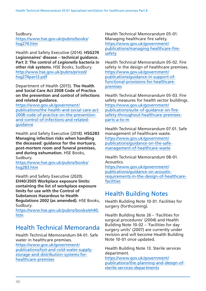#### Sudbury. [https://www.hse.gov.uk/pubns/books/](https://www.hse.gov.uk/pubns/books/hsg274.htm)  [hsg274.htm](https://www.hse.gov.uk/pubns/books/hsg274.htm)

Health and Safety Executive (2014). **HSG274 Legionnaires' disease – technical guidance. Part 3: The control of** *Legionella* **bacteria in other risk systems.** HSE Books, Sudbury. [http://www.hse.gov.uk/pubns/priced/](http://www.hse.gov.uk/pubns/priced/hsg274part3.pdf)  [hsg274part3.pdf](http://www.hse.gov.uk/pubns/priced/hsg274part3.pdf) 

Department of Health (2015). **The Health and Social Care Act 2008 Code of Practice on the prevention and control of infections and related guidance.** 

[https://www.gov.uk/government/](https://www.gov.uk/government/publications/the-health-and-social-care-act-2008-code-of-practice-on-the-prevention-and-control-of-infections-and-related-guidance)  [publications/the-health-and-social-care-act-](https://www.gov.uk/government/publications/the-health-and-social-care-act-2008-code-of-practice-on-the-prevention-and-control-of-infections-and-related-guidance)[2008-code-of-practice-on-the-prevention](https://www.gov.uk/government/publications/the-health-and-social-care-act-2008-code-of-practice-on-the-prevention-and-control-of-infections-and-related-guidance)[and-control-of-infections-and-related](https://www.gov.uk/government/publications/the-health-and-social-care-act-2008-code-of-practice-on-the-prevention-and-control-of-infections-and-related-guidance)[guidance](https://www.gov.uk/government/publications/the-health-and-social-care-act-2008-code-of-practice-on-the-prevention-and-control-of-infections-and-related-guidance) 

Health and Safety Executive (2018). **HSG283 Managing infection risks when handling the deceased: guidance for the mortuary, post-mortem room and funeral premises, and during exhumation.** HSE Books, Sudbury.

[https://www.hse.gov.uk/pubns/books/](https://www.hse.gov.uk/pubns/books/hsg283.htm)  [hsg283.htm](https://www.hse.gov.uk/pubns/books/hsg283.htm)

Health and Safety Executive (2020). **EH40/2005 Workplace exposure limits: containing the list of workplace exposure limits for use with the Control of Substances Hazardous to Health Regulations 2002 (as amended).** HSE Books, Sudbury.

[https://www.hse.gov.uk/pubns/books/eh40.](https://www.hse.gov.uk/pubns/books/eh40.htm) [htm](https://www.hse.gov.uk/pubns/books/eh40.htm) 

# Health Technical Memoranda

Health Technical Memorandum 04-01. Safe water in healthcare premises. [https://www.gov.uk/government/](https://www.gov.uk/government/publications/hot-and-cold-water-supply-storage-and-distribution-systems-for-healthcare-premises)  [publications/hot-and-cold-water-supply](https://www.gov.uk/government/publications/hot-and-cold-water-supply-storage-and-distribution-systems-for-healthcare-premises)[storage-and-distribution-systems-for](https://www.gov.uk/government/publications/hot-and-cold-water-supply-storage-and-distribution-systems-for-healthcare-premises)[healthcare-premises](https://www.gov.uk/government/publications/hot-and-cold-water-supply-storage-and-distribution-systems-for-healthcare-premises) 

Health Technical Memorandum 05-01. Managing healthcare fire safety. [https://www.gov.uk/government/](https://www.gov.uk/government/publications/managing-healthcare-fire-safety)  [publications/managing-healthcare-fire](https://www.gov.uk/government/publications/managing-healthcare-fire-safety)[safety](https://www.gov.uk/government/publications/managing-healthcare-fire-safety) 

Health Technical Memorandum 05-02. Fire safety in the design of healthcare premises. [https://www.gov.uk/government/](https://www.gov.uk/government/publications/guidance-in-support-of-functional-provisions-for-healthcare-premises)  [publications/guidance-in-support-of](https://www.gov.uk/government/publications/guidance-in-support-of-functional-provisions-for-healthcare-premises)[functional-provisions-for-healthcare](https://www.gov.uk/government/publications/guidance-in-support-of-functional-provisions-for-healthcare-premises)[premises](https://www.gov.uk/government/publications/guidance-in-support-of-functional-provisions-for-healthcare-premises) 

Health Technical Memorandum 05-03. Fire safety measures for health sector buildings. [https://www.gov.uk/government/](https://www.gov.uk/government/publications/suite-of-guidance-on-fire-safety-throughout-healthcare-premises-parts-a-to-m)  [publications/suite-of-guidance-on-fire](https://www.gov.uk/government/publications/suite-of-guidance-on-fire-safety-throughout-healthcare-premises-parts-a-to-m)[safety-throughout-healthcare-premises](https://www.gov.uk/government/publications/suite-of-guidance-on-fire-safety-throughout-healthcare-premises-parts-a-to-m)[parts-a-to-m](https://www.gov.uk/government/publications/suite-of-guidance-on-fire-safety-throughout-healthcare-premises-parts-a-to-m) 

Health Technical Memorandum 07-01. Safe management of healthcare waste. [https://www.gov.uk/government/](https://www.gov.uk/government/publications/guidance-on-the-safe-management-of-healthcare-waste)  [publications/guidance-on-the-safe](https://www.gov.uk/government/publications/guidance-on-the-safe-management-of-healthcare-waste)[management-of-healthcare-waste](https://www.gov.uk/government/publications/guidance-on-the-safe-management-of-healthcare-waste)

Health Technical Memorandum 08-01. **Acoustics** 

[https://www.gov.uk/government/](https://www.gov.uk/government/publications/guidance-on-acoustic-requirements-in-the-design-of-healthcare-facilities)  [publications/guidance-on-acoustic](https://www.gov.uk/government/publications/guidance-on-acoustic-requirements-in-the-design-of-healthcare-facilities)[requirements-in-the-design-of-healthcare](https://www.gov.uk/government/publications/guidance-on-acoustic-requirements-in-the-design-of-healthcare-facilities)[facilities](https://www.gov.uk/government/publications/guidance-on-acoustic-requirements-in-the-design-of-healthcare-facilities) 

## Health Building Notes

Health Building Note 10-01. Facilities for surgery (forthcoming).

Health Building Note 26 – 'Facilities for surgical procedures' (2004) and Health Building Note 10-02 – 'Facilities for day surgery units' (2007) are currently under revision and will become Health Building Note 10-01 once updated.

Health Building Note 13. Sterile services department.

[https://www.gov.uk/government/](https://www.gov.uk/government/publications/the-planning-and-design-of-sterile-services-departments)  [publications/the-planning-and-design-of](https://www.gov.uk/government/publications/the-planning-and-design-of-sterile-services-departments)[sterile-services-departments](https://www.gov.uk/government/publications/the-planning-and-design-of-sterile-services-departments)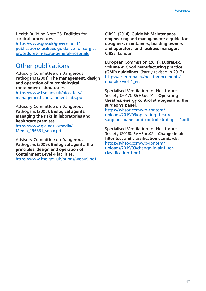Health Building Note 26. Facilities for surgical procedures. [https://www.gov.uk/government/](https://www.gov.uk/government/publications/facilities-guidance-for-surgical-procedures-in-acute-general-hospitals)  [publications/facilities-guidance-for-surgical](https://www.gov.uk/government/publications/facilities-guidance-for-surgical-procedures-in-acute-general-hospitals)[procedures-in-acute-general-hospitals](https://www.gov.uk/government/publications/facilities-guidance-for-surgical-procedures-in-acute-general-hospitals)

## Other publications

Advisory Committee on Dangerous Pathogens (2001). **The management, design and operation of microbiological containment laboratories.** 

[https://www.hse.gov.uk/biosafety/](https://www.hse.gov.uk/biosafety/management-containment-labs.pdf) [management-containment-labs.pdf](https://www.hse.gov.uk/biosafety/management-containment-labs.pdf)

Advisory Committee on Dangerous Pathogens (2005). **Biological agents: managing the risks in laboratories and healthcare premises.** 

[https://www.gla.ac.uk/media/](https://www.gla.ac.uk/media/Media_196331_smxx.pdf) [Media\\_196331\\_smxx.pdf](https://www.gla.ac.uk/media/Media_196331_smxx.pdf) 

Advisory Committee on Dangerous Pathogens (2009). **Biological agents: the principles, design and operation of Containment Level 4 facilities.**  <https://www.hse.gov.uk/pubns/web09.pdf> CIBSE. (2014). **Guide M: Maintenance engineering and management: a guide for designers, maintainers, building owners and operators, and facilities managers.**  CIBSE, London.

European Commission (2011). **EudraLex. Volume 4: Good manufacturing practice (GMP) guidelines.** (Partly revised in 2017.) [https://ec.europa.eu/health/documents/](https://ec.europa.eu/health/documents/eudralex/vol-4_en)  [eudralex/vol-4\\_en](https://ec.europa.eu/health/documents/eudralex/vol-4_en)

Specialised Ventilation for Healthcare Society (2017). **[SVHSoc.01](https://SVHSoc.01) – Operating theatres: energy control strategies and the surgeon's panel.** 

[https://svhsoc.com/wp-content/](https://svhsoc.com/wp-content/uploads/2019/03/operating-theatre-surgeons-panel-and-control-strategies-1.pdf)  [uploads/2019/03/operating-theatre](https://svhsoc.com/wp-content/uploads/2019/03/operating-theatre-surgeons-panel-and-control-strategies-1.pdf)[surgeons-panel-and-control-strategies-1.pdf](https://svhsoc.com/wp-content/uploads/2019/03/operating-theatre-surgeons-panel-and-control-strategies-1.pdf) 

Specialised Ventilation for Healthcare Society (2018). [SVHSoc.02](https://SVHSoc.02) – **Change in air filter test and classification standards.**  [https://svhsoc.com/wp-content/](https://svhsoc.com/wp-content/uploads/2019/03/change-in-air-filter-classification-1.pdf)  [uploads/2019/03/change-in-air-filter](https://svhsoc.com/wp-content/uploads/2019/03/change-in-air-filter-classification-1.pdf)[classification-1.pdf](https://svhsoc.com/wp-content/uploads/2019/03/change-in-air-filter-classification-1.pdf)